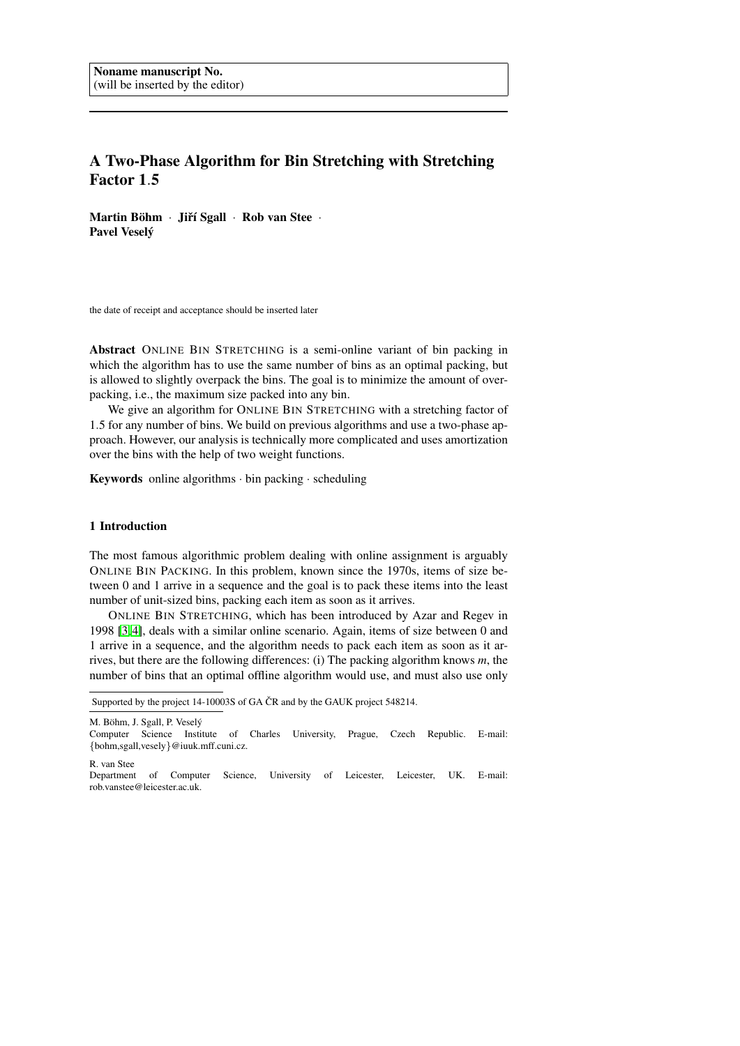# A Two-Phase Algorithm for Bin Stretching with Stretching Factor 1.5

Martin Böhm · Jiří Sgall · Rob van Stee · Pavel Veselý

the date of receipt and acceptance should be inserted later

Abstract ONLINE BIN STRETCHING is a semi-online variant of bin packing in which the algorithm has to use the same number of bins as an optimal packing, but is allowed to slightly overpack the bins. The goal is to minimize the amount of overpacking, i.e., the maximum size packed into any bin.

We give an algorithm for ONLINE BIN STRETCHING with a stretching factor of 1.5 for any number of bins. We build on previous algorithms and use a two-phase approach. However, our analysis is technically more complicated and uses amortization over the bins with the help of two weight functions.

Keywords online algorithms · bin packing · scheduling

# 1 Introduction

The most famous algorithmic problem dealing with online assignment is arguably ONLINE BIN PACKING. In this problem, known since the 1970s, items of size between 0 and 1 arrive in a sequence and the goal is to pack these items into the least number of unit-sized bins, packing each item as soon as it arrives.

ONLINE BIN STRETCHING, which has been introduced by Azar and Regev in 1998 [\[3,](#page-17-0) [4\]](#page-17-1), deals with a similar online scenario. Again, items of size between 0 and 1 arrive in a sequence, and the algorithm needs to pack each item as soon as it arrives, but there are the following differences: (i) The packing algorithm knows *m*, the number of bins that an optimal offline algorithm would use, and must also use only

M. Böhm, J. Sgall, P. Veselý

R. van Stee

Supported by the project 14-10003S of GA ČR and by the GAUK project 548214.

Computer Science Institute of Charles University, Prague, Czech Republic. E-mail: {bohm,sgall,vesely}@iuuk.mff.cuni.cz.

Department of Computer Science, University of Leicester, Leicester, UK. E-mail: rob.vanstee@leicester.ac.uk.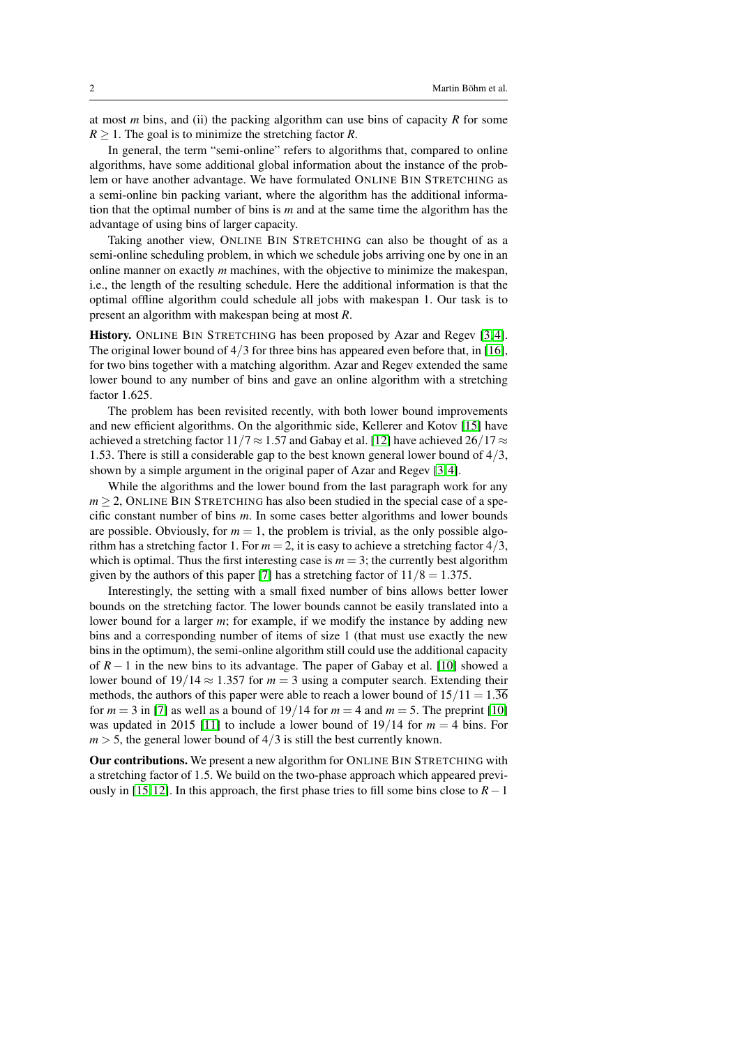at most *m* bins, and (ii) the packing algorithm can use bins of capacity *R* for some  $R \geq 1$ . The goal is to minimize the stretching factor *R*.

In general, the term "semi-online" refers to algorithms that, compared to online algorithms, have some additional global information about the instance of the problem or have another advantage. We have formulated ONLINE BIN STRETCHING as a semi-online bin packing variant, where the algorithm has the additional information that the optimal number of bins is *m* and at the same time the algorithm has the advantage of using bins of larger capacity.

Taking another view, ONLINE BIN STRETCHING can also be thought of as a semi-online scheduling problem, in which we schedule jobs arriving one by one in an online manner on exactly *m* machines, with the objective to minimize the makespan, i.e., the length of the resulting schedule. Here the additional information is that the optimal offline algorithm could schedule all jobs with makespan 1. Our task is to present an algorithm with makespan being at most *R*.

History. ONLINE BIN STRETCHING has been proposed by Azar and Regev [\[3,](#page-17-0) [4\]](#page-17-1). The original lower bound of  $4/3$  for three bins has appeared even before that, in [\[16\]](#page-17-2), for two bins together with a matching algorithm. Azar and Regev extended the same lower bound to any number of bins and gave an online algorithm with a stretching factor 1.625.

The problem has been revisited recently, with both lower bound improvements and new efficient algorithms. On the algorithmic side, Kellerer and Kotov [\[15\]](#page-17-3) have achieved a stretching factor 11/7  $\approx$  1.57 and Gabay et al. [\[12\]](#page-17-4) have achieved 26/17  $\approx$ 1.53. There is still a considerable gap to the best known general lower bound of 4/3, shown by a simple argument in the original paper of Azar and Regev [\[3,](#page-17-0) [4\]](#page-17-1).

While the algorithms and the lower bound from the last paragraph work for any  $m > 2$ , ONLINE BIN STRETCHING has also been studied in the special case of a specific constant number of bins *m*. In some cases better algorithms and lower bounds are possible. Obviously, for  $m = 1$ , the problem is trivial, as the only possible algorithm has a stretching factor 1. For  $m = 2$ , it is easy to achieve a stretching factor  $4/3$ , which is optimal. Thus the first interesting case is  $m = 3$ ; the currently best algorithm given by the authors of this paper [\[7\]](#page-17-5) has a stretching factor of  $11/8 = 1.375$ .

Interestingly, the setting with a small fixed number of bins allows better lower bounds on the stretching factor. The lower bounds cannot be easily translated into a lower bound for a larger *m*; for example, if we modify the instance by adding new bins and a corresponding number of items of size 1 (that must use exactly the new bins in the optimum), the semi-online algorithm still could use the additional capacity of *R* − 1 in the new bins to its advantage. The paper of Gabay et al. [\[10\]](#page-17-6) showed a lower bound of  $19/14 \approx 1.357$  for  $m = 3$  using a computer search. Extending their methods, the authors of this paper were able to reach a lower bound of  $15/11 = 1.36$ for  $m = 3$  in [\[7\]](#page-17-5) as well as a bound of  $19/14$  for  $m = 4$  and  $m = 5$ . The preprint [\[10\]](#page-17-6) was updated in 2015 [\[11\]](#page-17-7) to include a lower bound of  $19/14$  for  $m = 4$  bins. For  $m > 5$ , the general lower bound of  $4/3$  is still the best currently known.

Our contributions. We present a new algorithm for ONLINE BIN STRETCHING with a stretching factor of 1.5. We build on the two-phase approach which appeared previ-ously in [\[15,](#page-17-3) [12\]](#page-17-4). In this approach, the first phase tries to fill some bins close to  $R-1$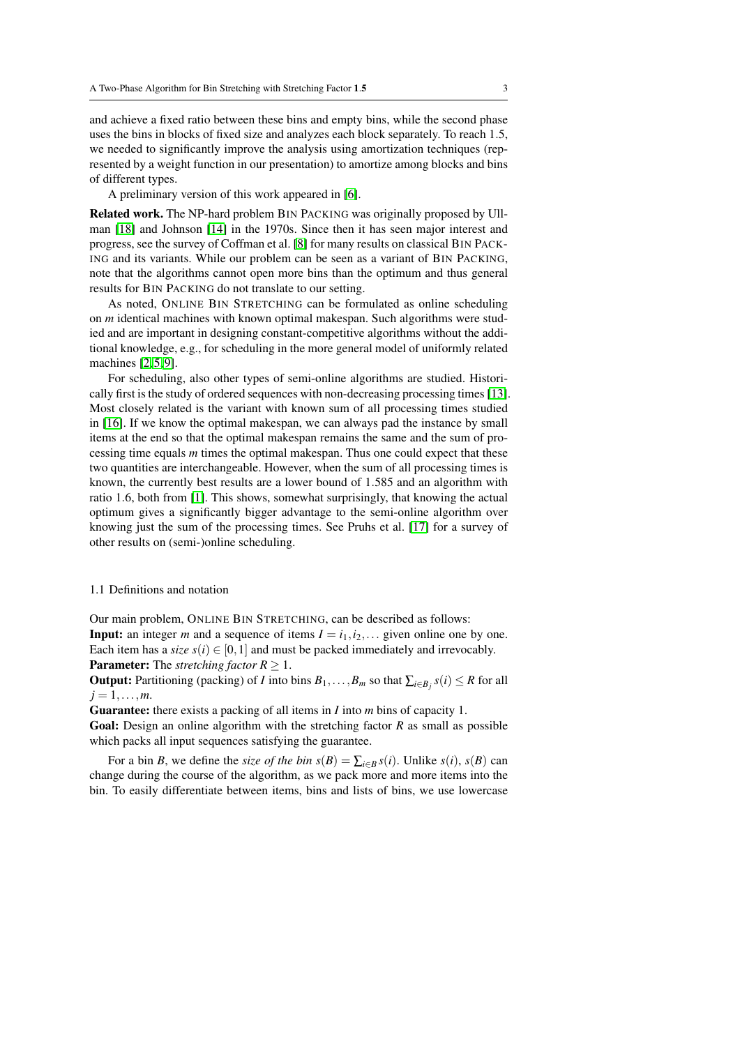and achieve a fixed ratio between these bins and empty bins, while the second phase uses the bins in blocks of fixed size and analyzes each block separately. To reach 1.5, we needed to significantly improve the analysis using amortization techniques (represented by a weight function in our presentation) to amortize among blocks and bins of different types.

A preliminary version of this work appeared in [\[6\]](#page-17-8).

Related work. The NP-hard problem BIN PACKING was originally proposed by Ullman [\[18\]](#page-17-9) and Johnson [\[14\]](#page-17-10) in the 1970s. Since then it has seen major interest and progress, see the survey of Coffman et al. [\[8\]](#page-17-11) for many results on classical BIN PACK-ING and its variants. While our problem can be seen as a variant of BIN PACKING, note that the algorithms cannot open more bins than the optimum and thus general results for BIN PACKING do not translate to our setting.

As noted, ONLINE BIN STRETCHING can be formulated as online scheduling on *m* identical machines with known optimal makespan. Such algorithms were studied and are important in designing constant-competitive algorithms without the additional knowledge, e.g., for scheduling in the more general model of uniformly related machines [\[2,](#page-17-12)5,9].

For scheduling, also other types of semi-online algorithms are studied. Historically first is the study of ordered sequences with non-decreasing processing times [\[13\]](#page-17-15). Most closely related is the variant with known sum of all processing times studied in [\[16\]](#page-17-2). If we know the optimal makespan, we can always pad the instance by small items at the end so that the optimal makespan remains the same and the sum of processing time equals *m* times the optimal makespan. Thus one could expect that these two quantities are interchangeable. However, when the sum of all processing times is known, the currently best results are a lower bound of 1.585 and an algorithm with ratio 1.6, both from [\[1\]](#page-16-0). This shows, somewhat surprisingly, that knowing the actual optimum gives a significantly bigger advantage to the semi-online algorithm over knowing just the sum of the processing times. See Pruhs et al. [\[17\]](#page-17-16) for a survey of other results on (semi-)online scheduling.

# 1.1 Definitions and notation

Our main problem, ONLINE BIN STRETCHING, can be described as follows: **Input:** an integer *m* and a sequence of items  $I = i_1, i_2, \ldots$  given online one by one. Each item has a *size*  $s(i) \in [0,1]$  and must be packed immediately and irrevocably. **Parameter:** The *stretching factor*  $R \geq 1$ .

**Output:** Partitioning (packing) of *I* into bins  $B_1, \ldots, B_m$  so that  $\sum_{i \in B_j} s(i) \leq R$  for all  $j = 1, \ldots, m$ .

Guarantee: there exists a packing of all items in *I* into *m* bins of capacity 1.

Goal: Design an online algorithm with the stretching factor *R* as small as possible which packs all input sequences satisfying the guarantee.

For a bin *B*, we define the *size of the bin*  $s(B) = \sum_{i \in B} s(i)$ . Unlike  $s(i)$ ,  $s(B)$  can change during the course of the algorithm, as we pack more and more items into the bin. To easily differentiate between items, bins and lists of bins, we use lowercase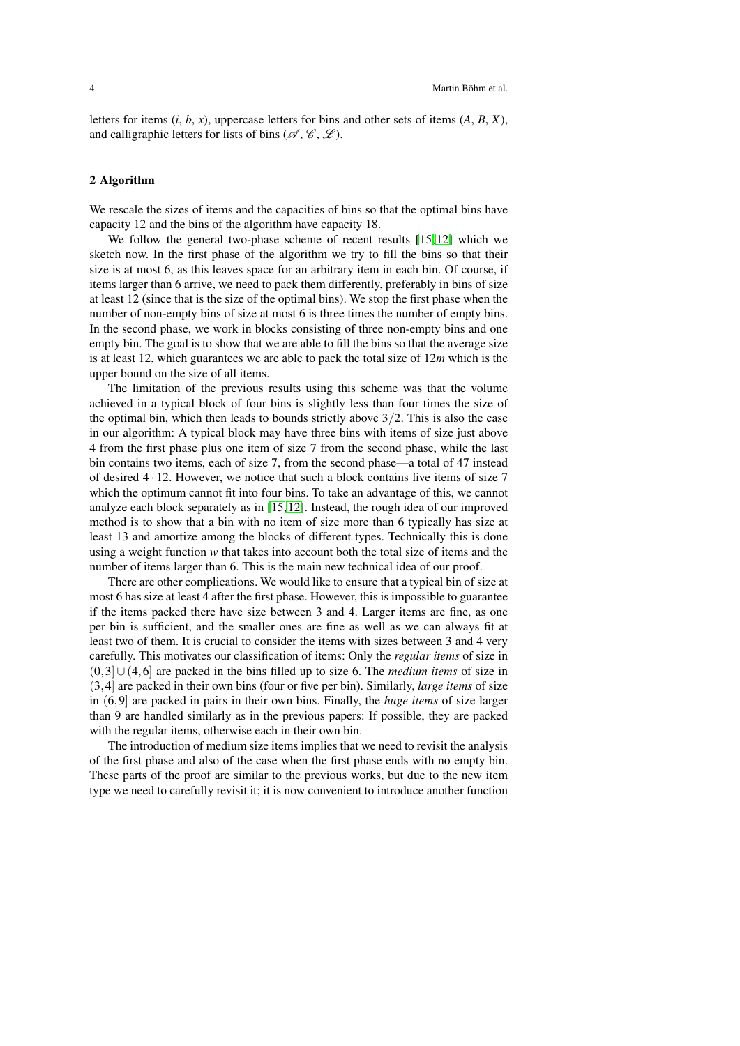letters for items (*i*, *b*, *x*), uppercase letters for bins and other sets of items (*A*, *B*, *X*), and calligraphic letters for lists of bins ( $\mathscr{A}, \mathscr{C}, \mathscr{L}$ ).

## 2 Algorithm

We rescale the sizes of items and the capacities of bins so that the optimal bins have capacity 12 and the bins of the algorithm have capacity 18.

We follow the general two-phase scheme of recent results [\[15,](#page-17-3)12] which we sketch now. In the first phase of the algorithm we try to fill the bins so that their size is at most 6, as this leaves space for an arbitrary item in each bin. Of course, if items larger than 6 arrive, we need to pack them differently, preferably in bins of size at least 12 (since that is the size of the optimal bins). We stop the first phase when the number of non-empty bins of size at most 6 is three times the number of empty bins. In the second phase, we work in blocks consisting of three non-empty bins and one empty bin. The goal is to show that we are able to fill the bins so that the average size is at least 12, which guarantees we are able to pack the total size of 12*m* which is the upper bound on the size of all items.

The limitation of the previous results using this scheme was that the volume achieved in a typical block of four bins is slightly less than four times the size of the optimal bin, which then leads to bounds strictly above  $3/2$ . This is also the case in our algorithm: A typical block may have three bins with items of size just above 4 from the first phase plus one item of size 7 from the second phase, while the last bin contains two items, each of size 7, from the second phase—a total of 47 instead of desired 4 · 12. However, we notice that such a block contains five items of size 7 which the optimum cannot fit into four bins. To take an advantage of this, we cannot analyze each block separately as in [\[15,](#page-17-3) [12\]](#page-17-4). Instead, the rough idea of our improved method is to show that a bin with no item of size more than 6 typically has size at least 13 and amortize among the blocks of different types. Technically this is done using a weight function *w* that takes into account both the total size of items and the number of items larger than 6. This is the main new technical idea of our proof.

There are other complications. We would like to ensure that a typical bin of size at most 6 has size at least 4 after the first phase. However, this is impossible to guarantee if the items packed there have size between 3 and 4. Larger items are fine, as one per bin is sufficient, and the smaller ones are fine as well as we can always fit at least two of them. It is crucial to consider the items with sizes between 3 and 4 very carefully. This motivates our classification of items: Only the *regular items* of size in (0,3]∪(4,6] are packed in the bins filled up to size 6. The *medium items* of size in (3,4] are packed in their own bins (four or five per bin). Similarly, *large items* of size in (6,9] are packed in pairs in their own bins. Finally, the *huge items* of size larger than 9 are handled similarly as in the previous papers: If possible, they are packed with the regular items, otherwise each in their own bin.

The introduction of medium size items implies that we need to revisit the analysis of the first phase and also of the case when the first phase ends with no empty bin. These parts of the proof are similar to the previous works, but due to the new item type we need to carefully revisit it; it is now convenient to introduce another function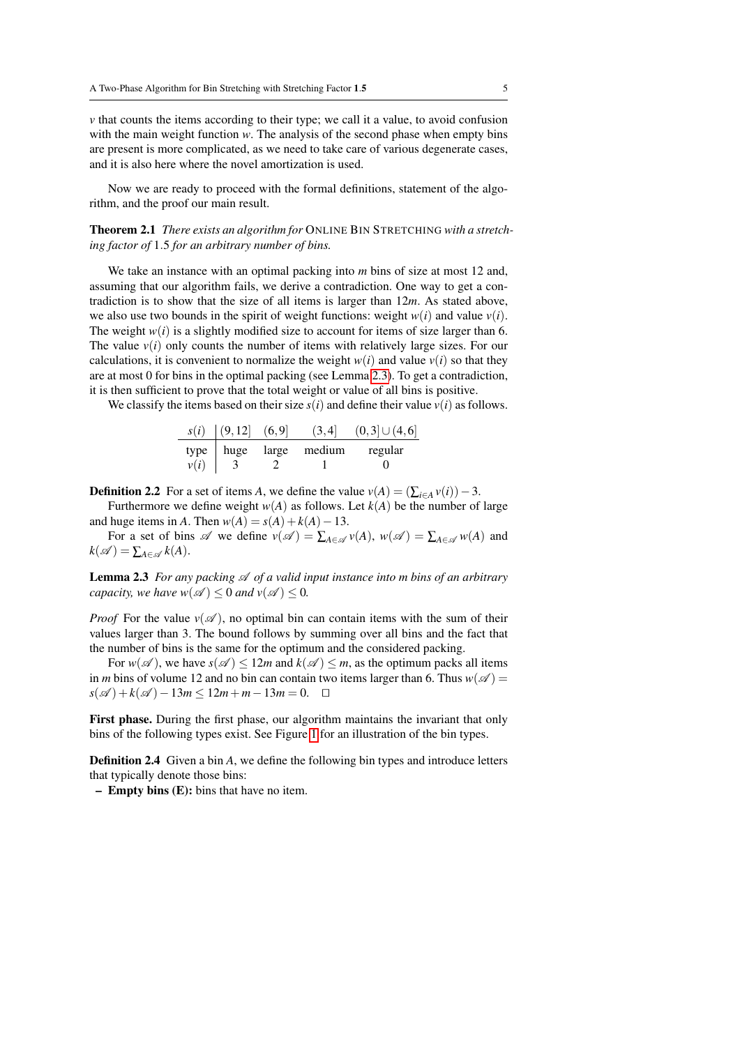*v* that counts the items according to their type; we call it a value, to avoid confusion with the main weight function *w*. The analysis of the second phase when empty bins are present is more complicated, as we need to take care of various degenerate cases, and it is also here where the novel amortization is used.

Now we are ready to proceed with the formal definitions, statement of the algorithm, and the proof our main result.

<span id="page-4-2"></span>Theorem 2.1 *There exists an algorithm for* ONLINE BIN STRETCHING *with a stretching factor of* 1.5 *for an arbitrary number of bins.*

We take an instance with an optimal packing into *m* bins of size at most 12 and, assuming that our algorithm fails, we derive a contradiction. One way to get a contradiction is to show that the size of all items is larger than 12*m*. As stated above, we also use two bounds in the spirit of weight functions: weight  $w(i)$  and value  $v(i)$ . The weight  $w(i)$  is a slightly modified size to account for items of size larger than 6. The value  $v(i)$  only counts the number of items with relatively large sizes. For our calculations, it is convenient to normalize the weight  $w(i)$  and value  $v(i)$  so that they are at most 0 for bins in the optimal packing (see Lemma [2.3\)](#page-4-0). To get a contradiction, it is then sufficient to prove that the total weight or value of all bins is positive.

We classify the items based on their size  $s(i)$  and define their value  $v(i)$  as follows.

|      | $s(i)$ $(9, 12)$ $(6, 9)$ | (3,4]                  | $(0,3] \cup (4,6]$ |
|------|---------------------------|------------------------|--------------------|
|      |                           | type huge large medium | regular            |
| v(i) |                           |                        |                    |

**Definition 2.2** For a set of items *A*, we define the value  $v(A) = (\sum_{i \in A} v(i)) - 3$ .

Furthermore we define weight  $w(A)$  as follows. Let  $k(A)$  be the number of large and huge items in *A*. Then  $w(A) = s(A) + k(A) - 13$ .

For a set of bins  $\mathscr A$  we define  $v(\mathscr A) = \sum_{A \in \mathscr A} v(A)$ ,  $w(\mathscr A) = \sum_{A \in \mathscr A} w(A)$  and  $k(\mathscr{A}) = \sum_{A \in \mathscr{A}} k(A).$ 

<span id="page-4-0"></span>Lemma 2.3 *For any packing*  $\mathscr A$  *of a valid input instance into m bins of an arbitrary capacity, we have*  $w(\mathcal{A}) \leq 0$  *and*  $v(\mathcal{A}) \leq 0$ *.* 

*Proof* For the value  $v(\mathscr{A})$ , no optimal bin can contain items with the sum of their values larger than 3. The bound follows by summing over all bins and the fact that the number of bins is the same for the optimum and the considered packing.

For  $w(\mathscr{A})$ , we have  $s(\mathscr{A}) \leq 12m$  and  $k(\mathscr{A}) \leq m$ , as the optimum packs all items in *m* bins of volume 12 and no bin can contain two items larger than 6. Thus  $w(\mathscr{A}) =$  $s(\mathscr{A}) + k(\mathscr{A}) - 13m \le 12m + m - 13m = 0.$  <del>□</del>

First phase. During the first phase, our algorithm maintains the invariant that only bins of the following types exist. See Figure [1](#page-5-0) for an illustration of the bin types.

<span id="page-4-1"></span>Definition 2.4 Given a bin *A*, we define the following bin types and introduce letters that typically denote those bins:

– Empty bins (E): bins that have no item.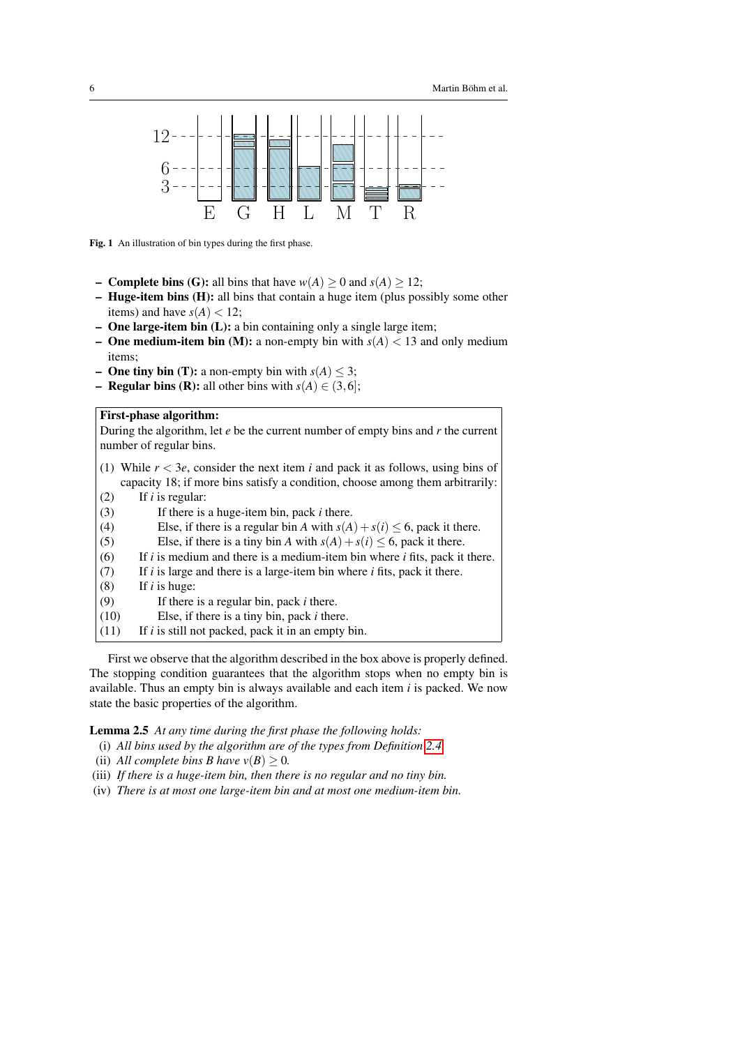

<span id="page-5-0"></span>Fig. 1 An illustration of bin types during the first phase.

- **Complete bins (G):** all bins that have  $w(A) > 0$  and  $s(A) > 12$ ;
- $-$  **Huge-item bins (H):** all bins that contain a huge item (plus possibly some other items) and have  $s(A) < 12$ ;
- One large-item bin (L): a bin containing only a single large item;
- **One medium-item bin (M):** a non-empty bin with  $s(A) < 13$  and only medium items;
- **One tiny bin (T):** a non-empty bin with  $s(A) \leq 3$ ;
- **Regular bins (R):** all other bins with  $s(A) \in (3,6]$ ;

# First-phase algorithm:

During the algorithm, let *e* be the current number of empty bins and *r* the current number of regular bins.

- (1) While *r* < 3*e*, consider the next item *i* and pack it as follows, using bins of capacity 18; if more bins satisfy a condition, choose among them arbitrarily:
- (2) If *i* is regular:
- (3) If there is a huge-item bin, pack *i* there.
- (4) Else, if there is a regular bin *A* with  $s(A) + s(i) \le 6$ , pack it there.<br>(5) Else, if there is a tiny bin *A* with  $s(A) + s(i) \le 6$ , pack it there.
- (5) Else, if there is a tiny bin *A* with  $s(A) + s(i) \le 6$ , pack it there.<br>(6) If *i* is medium and there is a medium-item bin where *i* fits, pack it
- If  $i$  is medium and there is a medium-item bin where  $i$  fits, pack it there.
- (7) If *i* is large and there is a large-item bin where *i* fits, pack it there.
- (8) If *i* is huge:
- (9) If there is a regular bin, pack *i* there.
- (10) Else, if there is a tiny bin, pack *i* there.
- (11) If *i* is still not packed, pack it in an empty bin.

First we observe that the algorithm described in the box above is properly defined. The stopping condition guarantees that the algorithm stops when no empty bin is available. Thus an empty bin is always available and each item *i* is packed. We now state the basic properties of the algorithm.

<span id="page-5-4"></span>Lemma 2.5 *At any time during the first phase the following holds:*

- <span id="page-5-1"></span>(i) *All bins used by the algorithm are of the types from Definition [2.4.](#page-4-1)*
- <span id="page-5-5"></span>(ii) *All complete bins B have*  $v(B) \geq 0$ *.*
- <span id="page-5-2"></span>(iii) *If there is a huge-item bin, then there is no regular and no tiny bin.*
- <span id="page-5-3"></span>(iv) *There is at most one large-item bin and at most one medium-item bin.*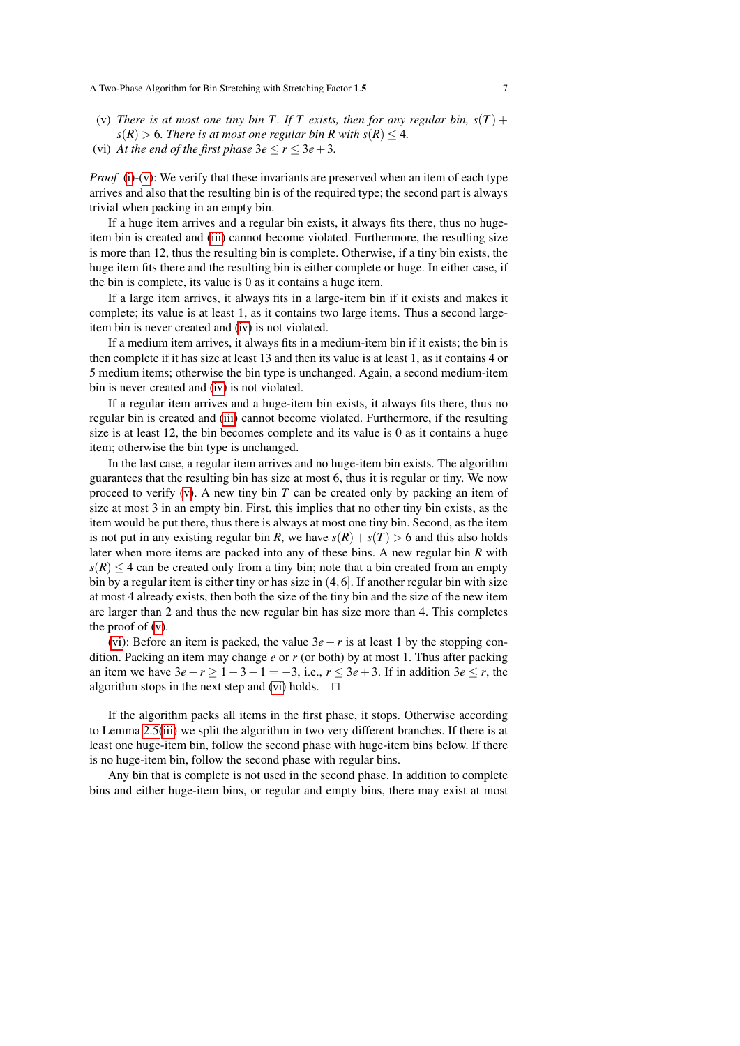- <span id="page-6-0"></span>(v) *There is at most one tiny bin T. If T exists, then for any regular bin,*  $s(T)$  +  $s(R) > 6$ *. There is at most one regular bin R with*  $s(R) \leq 4$ *.*
- <span id="page-6-1"></span>(vi) *At the end of the first phase*  $3e \le r \le 3e + 3$ *.*

*Proof* [\(i\)](#page-5-1)-[\(v\)](#page-6-0): We verify that these invariants are preserved when an item of each type arrives and also that the resulting bin is of the required type; the second part is always trivial when packing in an empty bin.

If a huge item arrives and a regular bin exists, it always fits there, thus no hugeitem bin is created and [\(iii\)](#page-5-2) cannot become violated. Furthermore, the resulting size is more than 12, thus the resulting bin is complete. Otherwise, if a tiny bin exists, the huge item fits there and the resulting bin is either complete or huge. In either case, if the bin is complete, its value is 0 as it contains a huge item.

If a large item arrives, it always fits in a large-item bin if it exists and makes it complete; its value is at least 1, as it contains two large items. Thus a second largeitem bin is never created and [\(iv\)](#page-5-3) is not violated.

If a medium item arrives, it always fits in a medium-item bin if it exists; the bin is then complete if it has size at least 13 and then its value is at least 1, as it contains 4 or 5 medium items; otherwise the bin type is unchanged. Again, a second medium-item bin is never created and [\(iv\)](#page-5-3) is not violated.

If a regular item arrives and a huge-item bin exists, it always fits there, thus no regular bin is created and [\(iii\)](#page-5-2) cannot become violated. Furthermore, if the resulting size is at least 12, the bin becomes complete and its value is 0 as it contains a huge item; otherwise the bin type is unchanged.

In the last case, a regular item arrives and no huge-item bin exists. The algorithm guarantees that the resulting bin has size at most 6, thus it is regular or tiny. We now proceed to verify [\(v\)](#page-6-0). A new tiny bin *T* can be created only by packing an item of size at most 3 in an empty bin. First, this implies that no other tiny bin exists, as the item would be put there, thus there is always at most one tiny bin. Second, as the item is not put in any existing regular bin *R*, we have  $s(R) + s(T) > 6$  and this also holds later when more items are packed into any of these bins. A new regular bin *R* with  $s(R) \leq 4$  can be created only from a tiny bin; note that a bin created from an empty bin by a regular item is either tiny or has size in (4,6]. If another regular bin with size at most 4 already exists, then both the size of the tiny bin and the size of the new item are larger than 2 and thus the new regular bin has size more than 4. This completes the proof of  $(v)$ .

[\(vi\)](#page-6-1): Before an item is packed, the value 3*e*−*r* is at least 1 by the stopping condition. Packing an item may change *e* or *r* (or both) by at most 1. Thus after packing an item we have  $3e - r \ge 1 - 3 - 1 = -3$ , i.e.,  $r \le 3e + 3$ . If in addition  $3e \le r$ , the algorithm stops in the next step and [\(vi\)](#page-6-1) holds.  $\Box$ 

If the algorithm packs all items in the first phase, it stops. Otherwise according to Lemma [2.5\(](#page-5-4)[iii\)](#page-5-2) we split the algorithm in two very different branches. If there is at least one huge-item bin, follow the second phase with huge-item bins below. If there is no huge-item bin, follow the second phase with regular bins.

Any bin that is complete is not used in the second phase. In addition to complete bins and either huge-item bins, or regular and empty bins, there may exist at most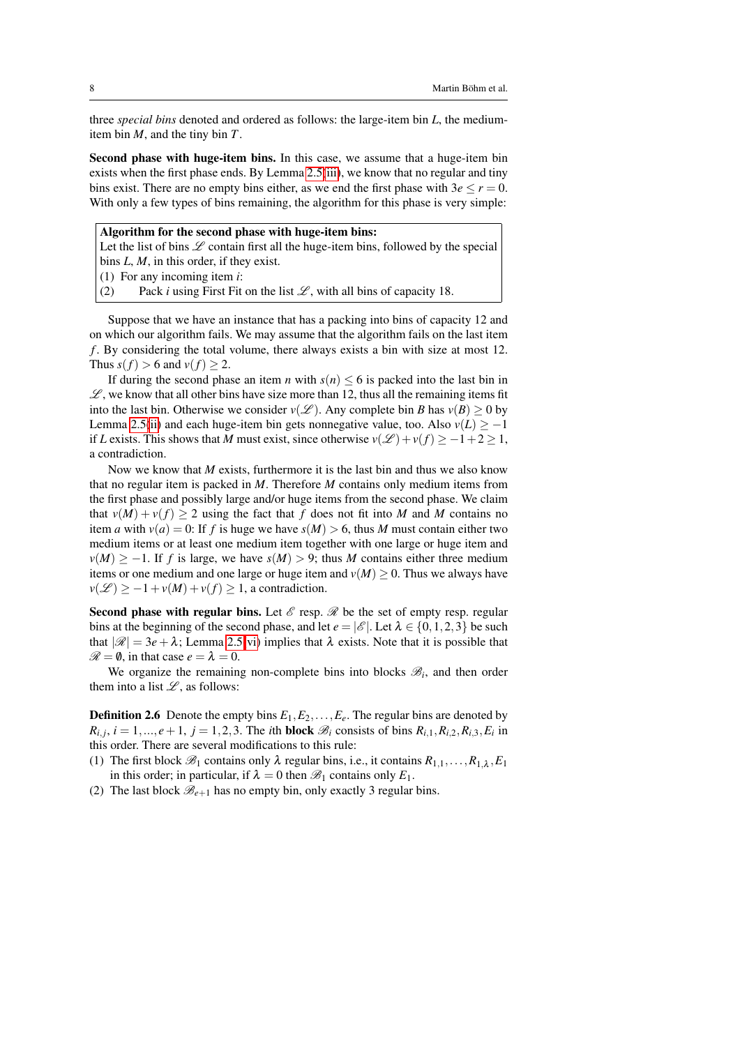three *special bins* denoted and ordered as follows: the large-item bin *L*, the mediumitem bin *M*, and the tiny bin *T*.

Second phase with huge-item bins. In this case, we assume that a huge-item bin exists when the first phase ends. By Lemma [2.5\(](#page-5-4)[iii\)](#page-5-2), we know that no regular and tiny bins exist. There are no empty bins either, as we end the first phase with  $3e \le r = 0$ . With only a few types of bins remaining, the algorithm for this phase is very simple:

## Algorithm for the second phase with huge-item bins:

Let the list of bins  $\mathscr L$  contain first all the huge-item bins, followed by the special bins *L*, *M*, in this order, if they exist.

(1) For any incoming item *i*:

(2) Pack *i* using First Fit on the list  $\mathcal{L}$ , with all bins of capacity 18.

Suppose that we have an instance that has a packing into bins of capacity 12 and on which our algorithm fails. We may assume that the algorithm fails on the last item *f* . By considering the total volume, there always exists a bin with size at most 12. Thus  $s(f) > 6$  and  $v(f) \geq 2$ .

If during the second phase an item *n* with  $s(n) \leq 6$  is packed into the last bin in  $\mathscr{L}$ , we know that all other bins have size more than 12, thus all the remaining items fit into the last bin. Otherwise we consider  $v(\mathscr{L})$ . Any complete bin *B* has  $v(B) \ge 0$  by Lemma [2.5\(](#page-5-4)[ii\)](#page-5-5) and each huge-item bin gets nonnegative value, too. Also  $v(L) \ge -1$ if *L* exists. This shows that *M* must exist, since otherwise  $v(\mathcal{L}) + v(f) \ge -1+2 \ge 1$ , a contradiction.

Now we know that *M* exists, furthermore it is the last bin and thus we also know that no regular item is packed in *M*. Therefore *M* contains only medium items from the first phase and possibly large and/or huge items from the second phase. We claim that  $v(M) + v(f) \ge 2$  using the fact that *f* does not fit into *M* and *M* contains no item *a* with  $v(a) = 0$ : If *f* is huge we have  $s(M) > 6$ , thus *M* must contain either two medium items or at least one medium item together with one large or huge item and  $v(M) \ge -1$ . If *f* is large, we have  $s(M) > 9$ ; thus *M* contains either three medium items or one medium and one large or huge item and  $v(M) \geq 0$ . Thus we always have  $v(\mathcal{L}) \geq -1 + v(M) + v(f) \geq 1$ , a contradiction.

Second phase with regular bins. Let  $\mathscr E$  resp.  $\mathscr R$  be the set of empty resp. regular bins at the beginning of the second phase, and let  $e = |\mathscr{E}|$ . Let  $\lambda \in \{0, 1, 2, 3\}$  be such that  $|\mathscr{R}| = 3e + \lambda$ ; Lemma [2.5](#page-5-4)[\(vi\)](#page-6-1) implies that  $\lambda$  exists. Note that it is possible that  $\mathcal{R} = \emptyset$ , in that case  $e = \lambda = 0$ .

We organize the remaining non-complete bins into blocks  $\mathcal{B}_i$ , and then order them into a list  $\mathcal{L}$ , as follows:

**Definition 2.6** Denote the empty bins  $E_1, E_2, \ldots, E_e$ . The regular bins are denoted by  $R_{i,j}$ ,  $i = 1, ..., e+1$ ,  $j = 1, 2, 3$ . The *i*th **block**  $\mathcal{B}_i$  consists of bins  $R_{i,1}, R_{i,2}, R_{i,3}, E_i$  in this order. There are several modifications to this rule:

- (1) The first block  $\mathcal{B}_1$  contains only  $\lambda$  regular bins, i.e., it contains  $R_{1,1},...,R_{1,\lambda},E_1$ in this order; in particular, if  $\lambda = 0$  then  $\mathcal{B}_1$  contains only  $E_1$ .
- (2) The last block  $\mathcal{B}_{e+1}$  has no empty bin, only exactly 3 regular bins.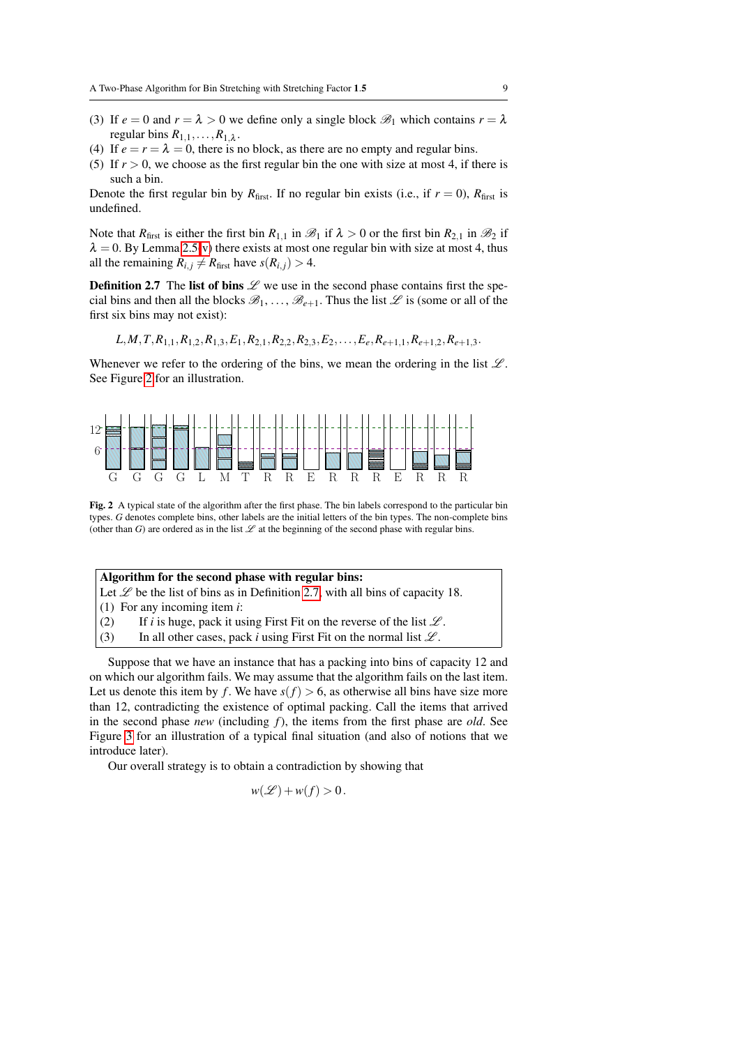- (3) If  $e = 0$  and  $r = \lambda > 0$  we define only a single block  $\mathcal{B}_1$  which contains  $r = \lambda$ regular bins  $R_{1,1}, \ldots, R_{1,\lambda}$ .
- (4) If  $e = r = \lambda = 0$ , there is no block, as there are no empty and regular bins.
- (5) If  $r > 0$ , we choose as the first regular bin the one with size at most 4, if there is such a bin.

Denote the first regular bin by  $R_{\text{first}}$ . If no regular bin exists (i.e., if  $r = 0$ ),  $R_{\text{first}}$  is undefined.

Note that *R*<sub>first</sub> is either the first bin *R*<sub>1,1</sub> in  $\mathcal{B}_1$  if  $\lambda > 0$  or the first bin *R*<sub>2,1</sub> in  $\mathcal{B}_2$  if  $\lambda = 0$ . By Lemma [2.5\(](#page-5-4)[v\)](#page-6-0) there exists at most one regular bin with size at most 4, thus all the remaining  $R_{i,j} \neq R_{\text{first}}$  have  $s(R_{i,j}) > 4$ .

**Definition 2.7** The list of bins  $\mathscr L$  we use in the second phase contains first the special bins and then all the blocks  $\mathscr{B}_1, \ldots, \mathscr{B}_{e+1}$ . Thus the list  $\mathscr L$  is (some or all of the first six bins may not exist):

<span id="page-8-1"></span> $L, M, T, R_{1,1}, R_{1,2}, R_{1,3}, E_1, R_{2,1}, R_{2,2}, R_{2,3}, E_2, \ldots, E_e, R_{e+1,1}, R_{e+1,2}, R_{e+1,3}$ 

Whenever we refer to the ordering of the bins, we mean the ordering in the list  $\mathcal{L}$ . See Figure [2](#page-8-0) for an illustration.



<span id="page-8-0"></span>Fig. 2 A typical state of the algorithm after the first phase. The bin labels correspond to the particular bin types. *G* denotes complete bins, other labels are the initial letters of the bin types. The non-complete bins (other than *G*) are ordered as in the list  $\mathscr L$  at the beginning of the second phase with regular bins.

| Algorithm for the second phase with regular bins:                                        |  |  |  |
|------------------------------------------------------------------------------------------|--|--|--|
| Let $\mathscr L$ be the list of bins as in Definition 2.7, with all bins of capacity 18. |  |  |  |
| $(1)$ For any incoming item <i>i</i> :                                                   |  |  |  |

- (2) If *i* is huge, pack it using First Fit on the reverse of the list  $\mathcal{L}$ .
- (3) In all other cases, pack *i* using First Fit on the normal list  $\mathcal{L}$ .

Suppose that we have an instance that has a packing into bins of capacity 12 and on which our algorithm fails. We may assume that the algorithm fails on the last item. Let us denote this item by *f*. We have  $s(f) > 6$ , as otherwise all bins have size more than 12, contradicting the existence of optimal packing. Call the items that arrived in the second phase *new* (including *f*), the items from the first phase are *old*. See Figure [3](#page-11-0) for an illustration of a typical final situation (and also of notions that we introduce later).

Our overall strategy is to obtain a contradiction by showing that

$$
w(\mathscr{L}) + w(f) > 0.
$$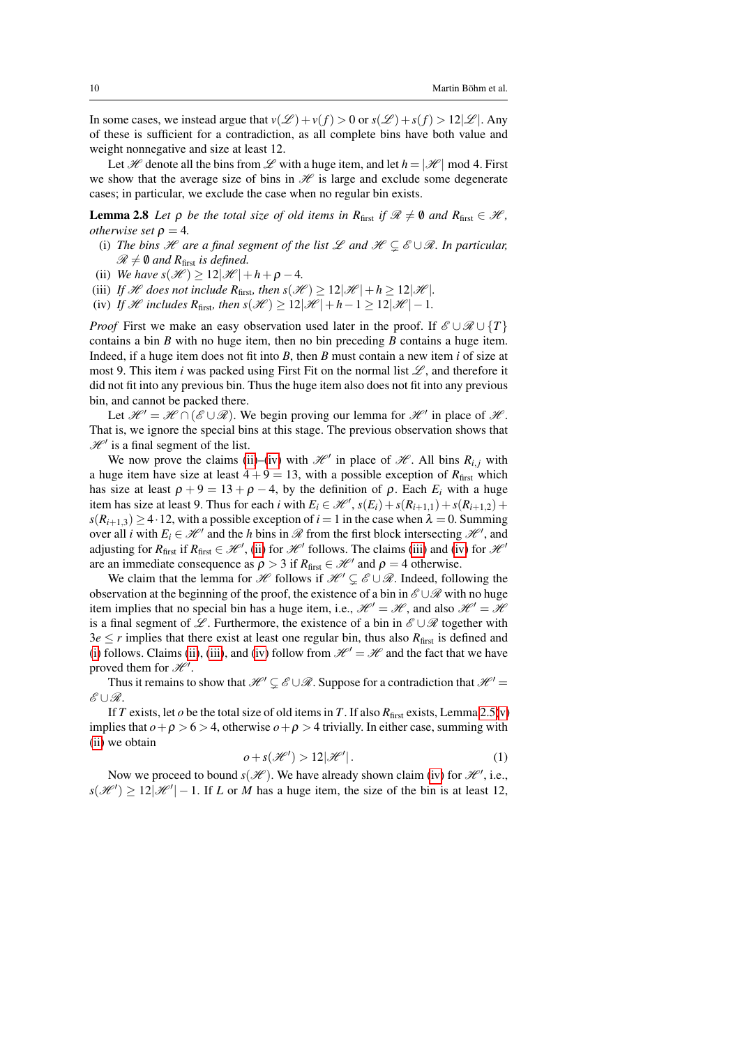In some cases, we instead argue that  $v(\mathcal{L}) + v(f) > 0$  or  $s(\mathcal{L}) + s(f) > 12|\mathcal{L}|$ . Any of these is sufficient for a contradiction, as all complete bins have both value and weight nonnegative and size at least 12.

Let H denote all the bins from L with a huge item, and let  $h = |\mathcal{H}|$  mod 4. First we show that the average size of bins in  $\mathcal H$  is large and exclude some degenerate cases; in particular, we exclude the case when no regular bin exists.

<span id="page-9-5"></span>**Lemma 2.8** *Let*  $\rho$  *be the total size of old items in*  $R_{\text{first}}$  *if*  $\mathcal{R} \neq \emptyset$  *and*  $R_{\text{first}} \in \mathcal{H}$ *, otherwise set*  $\rho = 4$ *.* 

- <span id="page-9-3"></span>(i) *The bins*  $\mathcal H$  *are a final segment of the list*  $\mathcal L$  *and*  $\mathcal H \subseteq \mathcal E \cup \mathcal R$ *. In particular,*  $\mathscr{R} \neq \emptyset$  and R<sub>first</sub> is defined.
- <span id="page-9-0"></span>(ii) We have  $s(\mathcal{H}) > 12|\mathcal{H}| + h + \rho - 4$ .
- <span id="page-9-2"></span>(iii) If *H* does not include  $R_{\text{first}}$ , then  $s(\mathcal{H}) \geq 12|\mathcal{H}| + h \geq 12|\mathcal{H}|$ .
- <span id="page-9-1"></span>(iv) If H includes  $R_{\text{first}}$ , then  $s(\mathcal{H}) \geq 12|\mathcal{H}| + h - 1 \geq 12|\mathcal{H}| - 1$ .

*Proof* First we make an easy observation used later in the proof. If  $\mathscr{E} \cup \mathscr{R} \cup \{T\}$ contains a bin *B* with no huge item, then no bin preceding *B* contains a huge item. Indeed, if a huge item does not fit into *B*, then *B* must contain a new item *i* of size at most 9. This item *i* was packed using First Fit on the normal list  $\mathcal{L}$ , and therefore it did not fit into any previous bin. Thus the huge item also does not fit into any previous bin, and cannot be packed there.

Let  $\mathcal{H}' = \mathcal{H} \cap (\mathcal{E} \cup \mathcal{R})$ . We begin proving our lemma for  $\mathcal{H}'$  in place of  $\mathcal{H}$ . That is, we ignore the special bins at this stage. The previous observation shows that  $\mathcal{H}^{\prime}$  is a final segment of the list.

We now prove the claims [\(ii\)](#page-9-0)–[\(iv\)](#page-9-1) with  $\mathcal{H}$  in place of  $\mathcal{H}$ . All bins  $R_{i,j}$  with a huge item have size at least  $4 + 9 = 13$ , with a possible exception of  $R_{\text{first}}$  which has size at least  $\rho + 9 = 13 + \rho - 4$ , by the definition of  $\rho$ . Each  $E_i$  with a huge item has size at least 9. Thus for each *i* with  $E_i \in \mathcal{H}$ ,  $s(E_i) + s(R_{i+1,1}) + s(R_{i+1,2}) +$  $s(R_{i+1,3}) \geq 4.12$ , with a possible exception of  $i = 1$  in the case when  $\lambda = 0$ . Summing over all *i* with  $E_i \in \mathcal{H}^{\prime}$  and the *h* bins in  $\mathcal{R}$  from the first block intersecting  $\mathcal{H}^{\prime}$ , and adjusting for  $R_{\text{first}}$  if  $R_{\text{first}} \in \mathcal{H}$ , [\(ii\)](#page-9-0) for  $\mathcal{H}$  follows. The claims [\(iii\)](#page-9-2) and [\(iv\)](#page-9-1) for  $\mathcal{H}$ are an immediate consequence as  $\rho > 3$  if  $R_{\text{first}} \in \mathcal{H}^{\prime}$  and  $\rho = 4$  otherwise.

We claim that the lemma for H follows if  $\mathcal{H} \subseteq \mathcal{E} \cup \mathcal{R}$ . Indeed, following the observation at the beginning of the proof, the existence of a bin in  $\mathscr{E}\cup\mathscr{R}$  with no huge item implies that no special bin has a huge item, i.e.,  $\mathcal{H}' = \mathcal{H}$ , and also  $\mathcal{H}' = \mathcal{H}$ is a final segment of L. Furthermore, the existence of a bin in  $\mathscr{E}\cup\mathscr{R}$  together with  $3e \le r$  implies that there exist at least one regular bin, thus also  $R_{\text{first}}$  is defined and [\(i\)](#page-9-3) follows. Claims [\(ii\)](#page-9-0), [\(iii\)](#page-9-2), and [\(iv\)](#page-9-1) follow from  $\mathcal{H}^{\prime} = \mathcal{H}$  and the fact that we have proved them for  $\mathscr{H}'$ .

Thus it remains to show that  $\mathcal{H}' \subseteq \mathcal{E} \cup \mathcal{R}$ . Suppose for a contradiction that  $\mathcal{H}' =$  $\&$ ∪ $\Re$ .

If *T* exists, let  $o$  be the total size of old items in *T*. If also  $R_{\text{first}}$  exists, Lemma [2.5\(](#page-5-4)[v\)](#page-6-0) implies that  $o + \rho > 6 > 4$ , otherwise  $o + \rho > 4$  trivially. In either case, summing with [\(ii\)](#page-9-0) we obtain

<span id="page-9-4"></span>
$$
o + s(\mathcal{H}') > 12|\mathcal{H}'|.\tag{1}
$$

Now we proceed to bound  $s(\mathcal{H})$ . We have already shown claim [\(iv\)](#page-9-1) for  $\mathcal{H}'$ , i.e.,  $s(\mathcal{H}') \geq 12|\mathcal{H}'| - 1$ . If *L* or *M* has a huge item, the size of the bin is at least 12,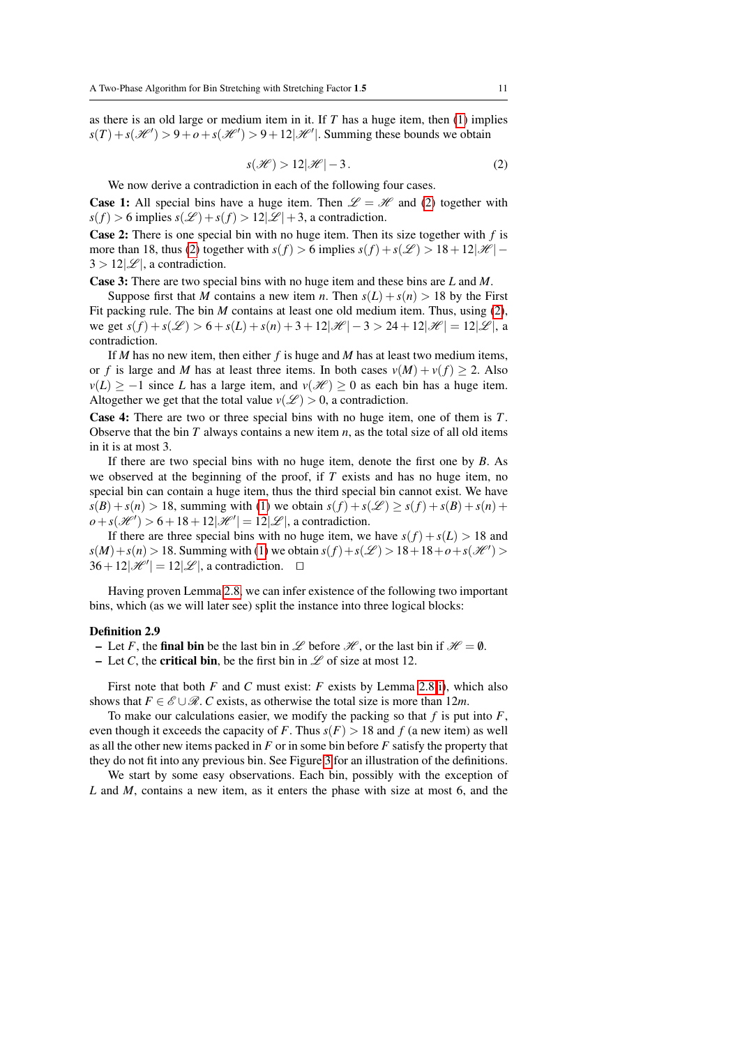as there is an old large or medium item in it. If *T* has a huge item, then [\(1\)](#page-9-4) implies  $s(T) + s(\mathcal{H}') > 9 + o + s(\mathcal{H}') > 9 + 12|\mathcal{H}'|$ . Summing these bounds we obtain

<span id="page-10-0"></span>
$$
s(\mathcal{H}) > 12|\mathcal{H}| - 3. \tag{2}
$$

We now derive a contradiction in each of the following four cases.

**Case 1:** All special bins have a huge item. Then  $\mathscr{L} = \mathscr{H}$  and [\(2\)](#page-10-0) together with  $s(f) > 6$  implies  $s(\mathcal{L}) + s(f) > 12|\mathcal{L}| + 3$ , a contradiction.

Case 2: There is one special bin with no huge item. Then its size together with *f* is more than 18, thus [\(2\)](#page-10-0) together with  $s(f) > 6$  implies  $s(f) + s(\mathcal{L}) > 18 + 12|\mathcal{H}| 3 > 12|\mathcal{L}|$ , a contradiction.

Case 3: There are two special bins with no huge item and these bins are *L* and *M*.

Suppose first that *M* contains a new item *n*. Then  $s(L) + s(n) > 18$  by the First Fit packing rule. The bin *M* contains at least one old medium item. Thus, using [\(2\)](#page-10-0), we get  $s(f) + s(\mathcal{L}) > 6 + s(L) + s(n) + 3 + 12|\mathcal{H}| - 3 > 24 + 12|\mathcal{H}| = 12|\mathcal{L}|$ , a contradiction.

If *M* has no new item, then either *f* is huge and *M* has at least two medium items, or *f* is large and *M* has at least three items. In both cases  $v(M) + v(f) \ge 2$ . Also  $v(L) \ge -1$  since *L* has a large item, and  $v(\mathcal{H}) \ge 0$  as each bin has a huge item. Altogether we get that the total value  $v(\mathcal{L}) > 0$ , a contradiction.

Case 4: There are two or three special bins with no huge item, one of them is *T*. Observe that the bin *T* always contains a new item *n*, as the total size of all old items in it is at most 3.

If there are two special bins with no huge item, denote the first one by *B*. As we observed at the beginning of the proof, if *T* exists and has no huge item, no special bin can contain a huge item, thus the third special bin cannot exist. We have  $s(B) + s(n) > 18$ , summing with [\(1\)](#page-9-4) we obtain  $s(f) + s(\mathcal{L}) \geq s(f) + s(B) + s(n) + s(n)$  $\rho + s(\mathcal{H}') > 6 + 18 + 12|\mathcal{H}'| = 12|\mathcal{L}|$ , a contradiction.

If there are three special bins with no huge item, we have  $s(f) + s(L) > 18$  and *s*(*M*) + *s*(*n*) > 18. Summing with [\(1\)](#page-9-4) we obtain *s*(*f*) + *s*( $\mathcal{L}$ ) > 18 + 18 + *o* + *s*( $\mathcal{H}'$ ) >  $36 + 12|\mathcal{H}'| = 12|\mathcal{L}|$ , a contradiction.  $\square$ 

Having proven Lemma [2.8,](#page-9-5) we can infer existence of the following two important bins, which (as we will later see) split the instance into three logical blocks:

#### <span id="page-10-1"></span>Definition 2.9

- Let *F*, the final bin be the last bin in  $\mathscr L$  before  $\mathscr H$ , or the last bin if  $\mathscr H = \emptyset$ .
- Let *C*, the **critical bin**, be the first bin in  $\mathscr L$  of size at most 12.

First note that both *F* and *C* must exist: *F* exists by Lemma [2.8\(](#page-9-5)[i\)](#page-9-3), which also shows that  $F \in \mathscr{E} \cup \mathscr{R}$ . *C* exists, as otherwise the total size is more than 12*m*.

To make our calculations easier, we modify the packing so that *f* is put into *F*, even though it exceeds the capacity of *F*. Thus  $s(F) > 18$  and *f* (a new item) as well as all the other new items packed in *F* or in some bin before *F* satisfy the property that they do not fit into any previous bin. See Figure [3](#page-11-0) for an illustration of the definitions.

We start by some easy observations. Each bin, possibly with the exception of *L* and *M*, contains a new item, as it enters the phase with size at most 6, and the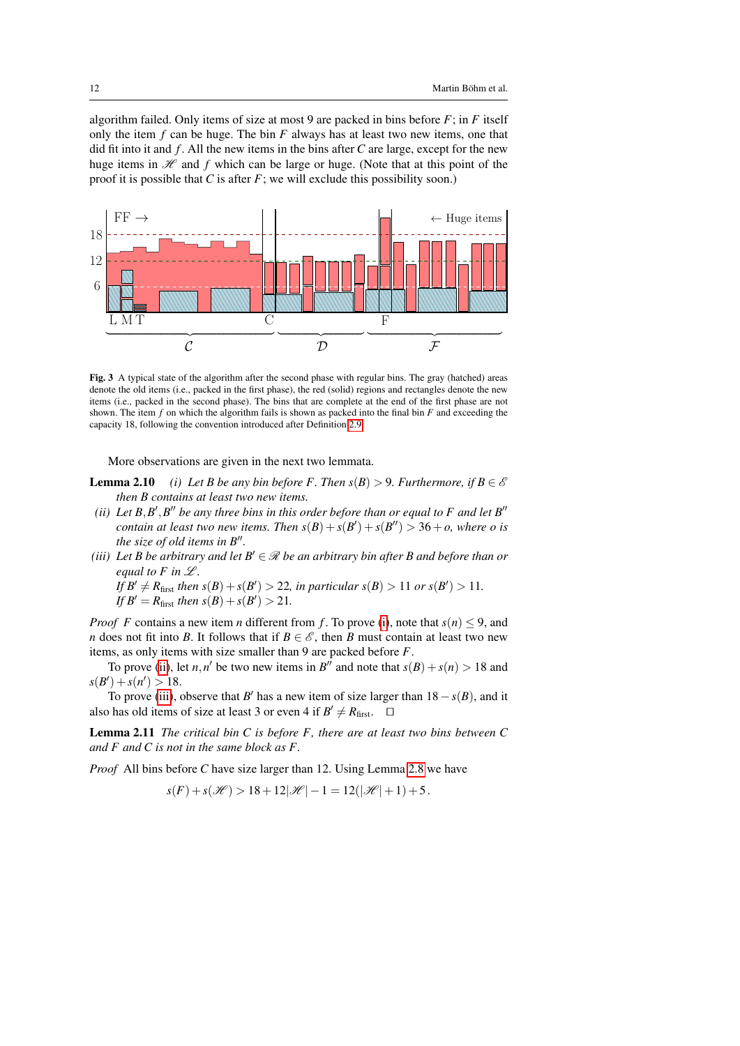algorithm failed. Only items of size at most 9 are packed in bins before *F*; in *F* itself only the item *f* can be huge. The bin *F* always has at least two new items, one that did fit into it and *f* . All the new items in the bins after *C* are large, except for the new huge items in  $\mathcal H$  and  $f$  which can be large or huge. (Note that at this point of the proof it is possible that *C* is after *F*; we will exclude this possibility soon.)



<span id="page-11-0"></span>Fig. 3 A typical state of the algorithm after the second phase with regular bins. The gray (hatched) areas denote the old items (i.e., packed in the first phase), the red (solid) regions and rectangles denote the new items (i.e., packed in the second phase). The bins that are complete at the end of the first phase are not shown. The item *f* on which the algorithm fails is shown as packed into the final bin *F* and exceeding the capacity 18, following the convention introduced after Definition [2.9.](#page-10-1)

More observations are given in the next two lemmata.

- <span id="page-11-4"></span><span id="page-11-1"></span>**Lemma 2.10** *(i) Let B be any bin before F. Then*  $s(B) > 9$ *. Furthermore, if*  $B \in \mathcal{E}$ *then B contains at least two new items.*
- <span id="page-11-2"></span>*(ii)* Let  $B$ , $B'$ , $B''$  be any three bins in this order before than or equal to F and let  $B''$ *contain at least two new items. Then*  $s(B) + s(B') + s(B'') > 36 + o$ , where *o* is *the size of old items in B*".
- <span id="page-11-3"></span>*(iii)* Let B be arbitrary and let  $B' \in \mathcal{R}$  be an arbitrary bin after B and before than or *equal to F in*  $\mathcal{L}$ *.*

*If*  $B' \neq R_{\text{first}}$  *then*  $s(B) + s(B') > 22$ *, in particular*  $s(B) > 11$  *or*  $s(B') > 11$ *. If*  $B' = R_{\text{first}}$  *then*  $s(B) + s(B') > 21$ *.* 

*Proof F* contains a new item *n* different from *f*. To prove [\(i\)](#page-11-1), note that  $s(n) \leq 9$ , and *n* does not fit into *B*. It follows that if  $B \in \mathscr{E}$ , then *B* must contain at least two new items, as only items with size smaller than 9 are packed before *F*.

To prove [\(ii\)](#page-11-2), let *n*,*n'* be two new items in *B''* and note that  $s(B) + s(n) > 18$  and  $s(B') + s(n') > 18.$ 

To prove [\(iii\)](#page-11-3), observe that *B*<sup> $\prime$ </sup> has a new item of size larger than  $18 - s(B)$ , and it also has old items of size at least 3 or even 4 if  $B' \neq R_{\text{first}}$ .  $\square$ 

<span id="page-11-5"></span>Lemma 2.11 *The critical bin C is before F, there are at least two bins between C and F and C is not in the same block as F.*

*Proof* All bins before *C* have size larger than 12. Using Lemma [2.8](#page-9-5) we have

$$
s(F) + s(\mathscr{H}) > 18 + 12|\mathscr{H}| - 1 = 12(|\mathscr{H}| + 1) + 5.
$$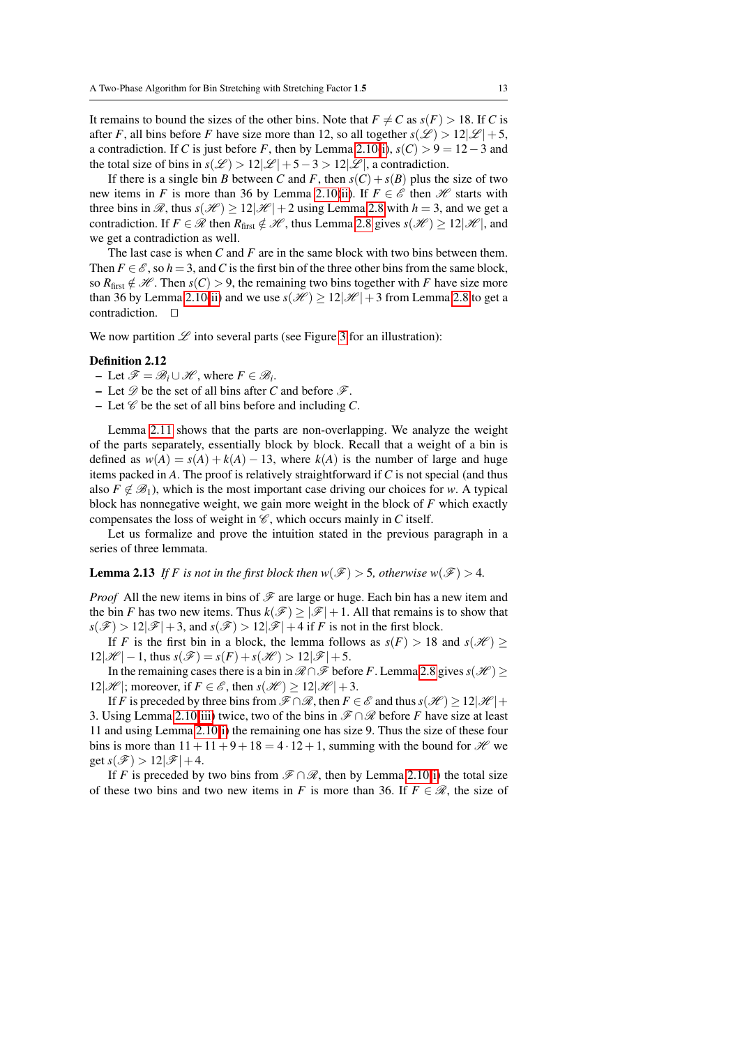It remains to bound the sizes of the other bins. Note that  $F \neq C$  as  $s(F) > 18$ . If *C* is after *F*, all bins before *F* have size more than 12, so all together  $s(\mathscr{L}) > 12|\mathscr{L}|+5$ , a contradiction. If *C* is just before *F*, then by Lemma [2.10](#page-11-4)[\(i\)](#page-11-1),  $s(C) > 9 = 12-3$  and the total size of bins in  $s(\mathcal{L}) > 12|\mathcal{L}|+5-3 > 12|\mathcal{L}|$ , a contradiction.

If there is a single bin *B* between *C* and *F*, then  $s(C) + s(B)$  plus the size of two new items in *F* is more than 36 by Lemma [2.10\(](#page-11-4)[ii\)](#page-11-2). If  $F \in \mathscr{E}$  then  $\mathscr{H}$  starts with three bins in  $\mathcal{R}$ , thus  $s(\mathcal{H}) \geq 12|\mathcal{H}| + 2$  using Lemma [2.8](#page-9-5) with  $h = 3$ , and we get a contradiction. If  $F \in \mathcal{R}$  then  $R_{\text{first}} \notin \mathcal{H}$ , thus Lemma [2.8](#page-9-5) gives  $s(\mathcal{H}) \geq 12|\mathcal{H}|$ , and we get a contradiction as well.

The last case is when *C* and *F* are in the same block with two bins between them. Then  $F \in \mathcal{E}$ , so  $h = 3$ , and C is the first bin of the three other bins from the same block, so  $R_{\text{first}} \notin \mathcal{H}$ . Then  $s(C) > 9$ , the remaining two bins together with *F* have size more than 36 by Lemma [2.10\(](#page-11-4)[ii\)](#page-11-2) and we use  $s(\mathcal{H}) \geq 12|\mathcal{H}| + 3$  from Lemma [2.8](#page-9-5) to get a contradiction.  $\square$ 

We now partition  $\mathscr L$  into several parts (see Figure [3](#page-11-0) for an illustration):

#### Definition 2.12

- $-$  Let  $\mathscr{F} = \mathscr{B}_i \cup \mathscr{H}$ , where  $F \in \mathscr{B}_i$ .
- Let  $\mathscr D$  be the set of all bins after *C* and before  $\mathscr F$ .
- Let  $\mathscr C$  be the set of all bins before and including  $C$ .

Lemma [2.11](#page-11-5) shows that the parts are non-overlapping. We analyze the weight of the parts separately, essentially block by block. Recall that a weight of a bin is defined as  $w(A) = s(A) + k(A) - 13$ , where  $k(A)$  is the number of large and huge items packed in *A*. The proof is relatively straightforward if *C* is not special (and thus also  $F \notin \mathcal{B}_1$ ), which is the most important case driving our choices for *w*. A typical block has nonnegative weight, we gain more weight in the block of *F* which exactly compensates the loss of weight in  $\mathcal C$ , which occurs mainly in *C* itself.

Let us formalize and prove the intuition stated in the previous paragraph in a series of three lemmata.

<span id="page-12-0"></span>**Lemma 2.13** *If* F is not in the first block then  $w(\mathcal{F}) > 5$ , otherwise  $w(\mathcal{F}) > 4$ .

*Proof* All the new items in bins of  $\mathcal F$  are large or huge. Each bin has a new item and the bin *F* has two new items. Thus  $k(\mathcal{F}) \geq |\mathcal{F}| + 1$ . All that remains is to show that  $s(\mathcal{F}) > 12|\mathcal{F}| + 3$ , and  $s(\mathcal{F}) > 12|\mathcal{F}| + 4$  if *F* is not in the first block.

If *F* is the first bin in a block, the lemma follows as  $s(F) > 18$  and  $s(H) \ge$  $12|\mathcal{H}| - 1$ , thus  $s(\mathcal{F}) = s(F) + s(\mathcal{H}) > 12|\mathcal{F}| + 5$ .

In the remaining cases there is a bin in  $\mathcal{R} \cap \mathcal{F}$  before *F*. Lemma [2.8](#page-9-5) gives  $s(\mathcal{H})$  > 12| $\mathcal{H}$ |; moreover, if  $F \in \mathcal{E}$ , then  $s(\mathcal{H}) \geq 12|\mathcal{H}|+3$ .

If *F* is preceded by three bins from  $\mathcal{F} \cap \mathcal{R}$ , then  $F \in \mathcal{E}$  and thus  $s(\mathcal{H}) \geq 12|\mathcal{H}| +$ 3. Using Lemma [2.10](#page-11-4)[\(iii\)](#page-11-3) twice, two of the bins in  $\mathcal{F} \cap \mathcal{R}$  before *F* have size at least 11 and using Lemma [2.10](#page-11-4)[\(i\)](#page-11-1) the remaining one has size 9. Thus the size of these four bins is more than  $11+11+9+18 = 4 \cdot 12+1$ , summing with the bound for  $\mathcal{H}$  we get  $s(\mathscr{F}) > 12|\mathscr{F}|+4$ .

If *F* is preceded by two bins from  $\mathcal{F} \cap \mathcal{R}$ , then by Lemma [2.10\(](#page-11-4)[i\)](#page-11-1) the total size of these two bins and two new items in *F* is more than 36. If  $F \in \mathcal{R}$ , the size of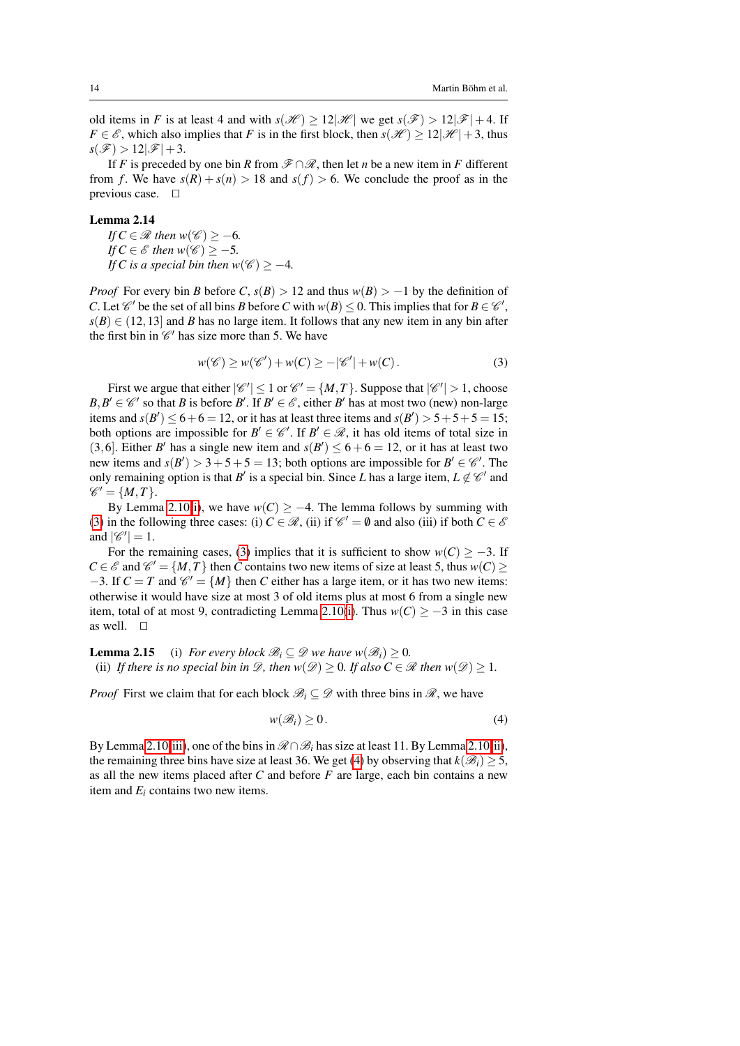old items in *F* is at least 4 and with  $s(\mathcal{H}) \geq 12|\mathcal{H}|$  we get  $s(\mathcal{F}) > 12|\mathcal{F}| + 4$ . If *F* ∈  $\mathscr E$ , which also implies that *F* is in the first block, then *s*( $\mathscr H$ ) ≥ 12| $\mathscr H$ |+3, thus  $s(\mathscr{F}) > 12|\mathscr{F}|+3.$ 

If *F* is preceded by one bin *R* from  $\mathscr{F} \cap \mathscr{R}$ , then let *n* be a new item in *F* different from *f*. We have  $s(R) + s(n) > 18$  and  $s(f) > 6$ . We conclude the proof as in the previous case.  $\square$ 

## <span id="page-13-2"></span>Lemma 2.14

*If*  $C \in \mathcal{R}$  *then*  $w(\mathcal{C}) \geq -6$ *. If*  $C \in \mathcal{E}$  *then*  $w(\mathcal{C}) \geq -5$ *. If C* is a special bin then w( $\mathcal{C}$ )  $\geq -4$ *.* 

*Proof* For every bin *B* before *C*,  $s(B) > 12$  and thus  $w(B) > -1$  by the definition of *C*. Let  $\mathscr{C}'$  be the set of all bins *B* before *C* with  $w(B) \le 0$ . This implies that for  $B \in \mathscr{C}'$ ,  $s(B) \in (12, 13]$  and *B* has no large item. It follows that any new item in any bin after the first bin in  $\mathcal{C}'$  has size more than 5. We have

<span id="page-13-0"></span>
$$
w(\mathscr{C}) \ge w(\mathscr{C}') + w(C) \ge -|\mathscr{C}'| + w(C). \tag{3}
$$

First we argue that either  $|\mathcal{C}'| \leq 1$  or  $\mathcal{C}' = \{M, T\}$ . Suppose that  $|\mathcal{C}'| > 1$ , choose  $B, B' \in \mathcal{C}'$  so that *B* is before *B*'. If  $B' \in \mathcal{E}$ , either *B*' has at most two (new) non-large items and  $s(B') \le 6 + 6 = 12$ , or it has at least three items and  $s(B') > 5 + 5 + 5 = 15$ ; both options are impossible for  $B' \in \mathcal{C}'$ . If  $B' \in \mathcal{R}$ , it has old items of total size in (3,6). Either *B*<sup> $\prime$ </sup> has a single new item and  $s(B') \le 6 + 6 = 12$ , or it has at least two new items and  $s(B') > 3+5+5 = 13$ ; both options are impossible for  $B' \in \mathcal{C}'$ . The only remaining option is that *B*<sup> $\prime$ </sup> is a special bin. Since *L* has a large item,  $L \notin \mathcal{C}'$  and  $\mathscr{C}' = \{M, T\}.$ 

By Lemma [2.10\(](#page-11-4)[i\)](#page-11-1), we have  $w(C) \geq -4$ . The lemma follows by summing with [\(3\)](#page-13-0) in the following three cases: (i)  $C \in \mathcal{R}$ , (ii) if  $\mathcal{C}' = \emptyset$  and also (iii) if both  $C \in \mathcal{E}$ and  $|\mathscr{C}'|=1$ .

For the remaining cases, [\(3\)](#page-13-0) implies that it is sufficient to show  $w(C) \ge -3$ . If  $C \in \mathcal{E}$  and  $\mathcal{C}' = \{M, T\}$  then *C* contains two new items of size at least 5, thus  $w(C) \ge$  $-3$ . If  $C = T$  and  $\mathcal{C}' = \{M\}$  then *C* either has a large item, or it has two new items: otherwise it would have size at most 3 of old items plus at most 6 from a single new item, total of at most 9, contradicting Lemma [2.10\(](#page-11-4)[i\)](#page-11-1). Thus  $w(C) \ge -3$  in this case as well.  $\square$ 

<span id="page-13-3"></span>**Lemma 2.15** (i) *For every block*  $\mathcal{B}_i \subseteq \mathcal{D}$  *we have*  $w(\mathcal{B}_i) \geq 0$ *.* (ii) If there is no special bin in  $\mathcal{D}$ , then  $w(\mathcal{D}) \geq 0$ . If also  $C \in \mathcal{R}$  then  $w(\mathcal{D}) \geq 1$ .

*Proof* First we claim that for each block  $\mathcal{B}_i \subseteq \mathcal{D}$  with three bins in  $\mathcal{R}$ , we have

<span id="page-13-1"></span>
$$
w(\mathscr{B}_i) \ge 0. \tag{4}
$$

By Lemma [2.10](#page-11-4)[\(iii\)](#page-11-3), one of the bins in  $\mathcal{R} \cap \mathcal{B}_i$  has size at least 11. By Lemma 2.10[\(ii\)](#page-11-2), the remaining three bins have size at least 36. We get [\(4\)](#page-13-1) by observing that  $k(\mathcal{B}_i) \geq 5$ , as all the new items placed after *C* and before *F* are large, each bin contains a new item and  $E_i$  contains two new items.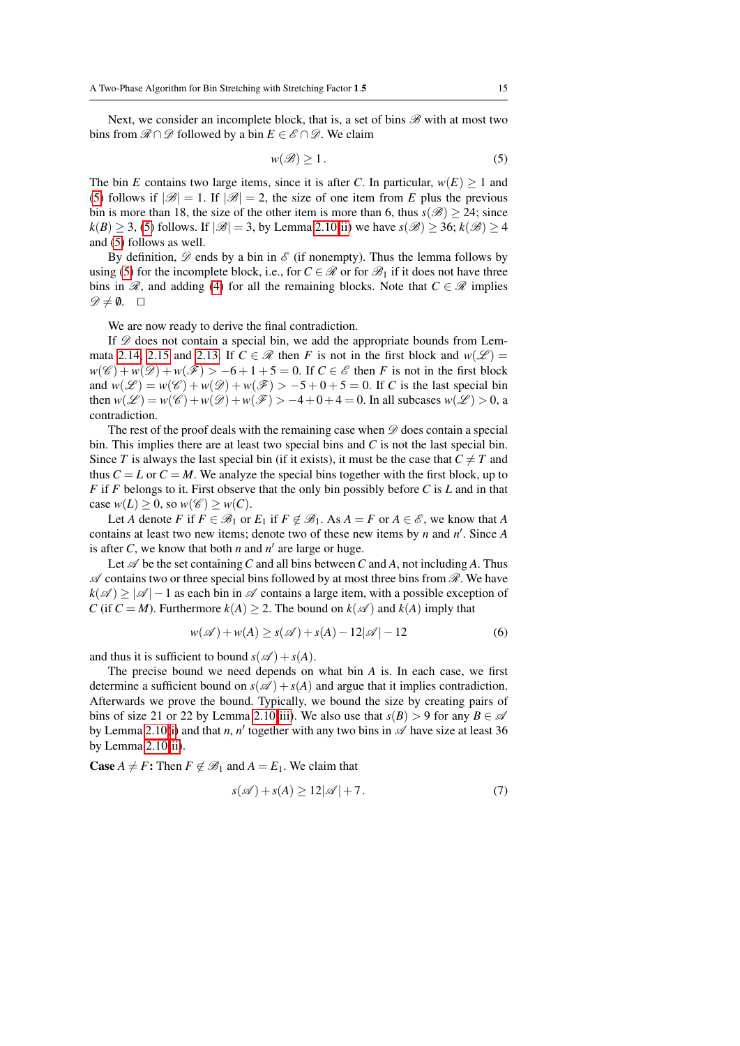Next, we consider an incomplete block, that is, a set of bins  $\mathscr{B}$  with at most two bins from  $\mathcal{R} \cap \mathcal{D}$  followed by a bin  $E \in \mathcal{E} \cap \mathcal{D}$ . We claim

<span id="page-14-0"></span>
$$
w(\mathscr{B}) \ge 1. \tag{5}
$$

The bin *E* contains two large items, since it is after *C*. In particular,  $w(E) \ge 1$  and [\(5\)](#page-14-0) follows if  $|\mathcal{B}| = 1$ . If  $|\mathcal{B}| = 2$ , the size of one item from E plus the previous bin is more than 18, the size of the other item is more than 6, thus  $s(\mathscr{B}) > 24$ ; since  $k(B) > 3$ , [\(5\)](#page-14-0) follows. If  $|\mathcal{B}| = 3$ , by Lemma [2.10](#page-11-4)[\(ii\)](#page-11-2) we have  $s(\mathcal{B}) > 36$ ;  $k(\mathcal{B}) > 4$ and [\(5\)](#page-14-0) follows as well.

By definition,  $\mathscr D$  ends by a bin in  $\mathscr E$  (if nonempty). Thus the lemma follows by using [\(5\)](#page-14-0) for the incomplete block, i.e., for  $C \in \mathcal{R}$  or for  $\mathcal{B}_1$  if it does not have three bins in  $\mathcal{R}$ , and adding [\(4\)](#page-13-1) for all the remaining blocks. Note that  $C \in \mathcal{R}$  implies  $\mathscr{D} \neq \emptyset$ .  $\Box$ 

We are now ready to derive the final contradiction.

If  $\mathscr D$  does not contain a special bin, we add the appropriate bounds from Lem-mata [2.14,](#page-13-2) [2.15](#page-13-3) and [2.13.](#page-12-0) If  $C \in \mathcal{R}$  then *F* is not in the first block and  $w(\mathcal{L}) =$  $w(\mathscr{C}) + w(\mathscr{D}) + w(\mathscr{F}) > -6 + 1 + 5 = 0$ . If  $C \in \mathscr{E}$  then *F* is not in the first block and  $w(\mathcal{L}) = w(\mathcal{C}) + w(\mathcal{D}) + w(\mathcal{F}) > -5 + 0 + 5 = 0$ . If *C* is the last special bin then  $w(\mathcal{L}) = w(\mathcal{C}) + w(\mathcal{D}) + w(\mathcal{F}) > -4 + 0 + 4 = 0$ . In all subcases  $w(\mathcal{L}) > 0$ , a contradiction.

The rest of the proof deals with the remaining case when  $\mathscr D$  does contain a special bin. This implies there are at least two special bins and *C* is not the last special bin. Since *T* is always the last special bin (if it exists), it must be the case that  $C \neq T$  and thus  $C = L$  or  $C = M$ . We analyze the special bins together with the first block, up to *F* if *F* belongs to it. First observe that the only bin possibly before *C* is *L* and in that case  $w(L) \geq 0$ , so  $w(\mathscr{C}) \geq w(C)$ .

Let *A* denote *F* if  $F \in \mathcal{B}_1$  or  $E_1$  if  $F \notin \mathcal{B}_1$ . As  $A = F$  or  $A \in \mathcal{E}$ , we know that *A* contains at least two new items; denote two of these new items by  $n$  and  $n'$ . Since  $A$ is after *C*, we know that both *n* and  $n'$  are large or huge.

Let  $\mathscr A$  be the set containing C and all bins between C and A, not including A. Thus  $\mathscr A$  contains two or three special bins followed by at most three bins from  $\mathscr R$ . We have  $k(\mathscr{A}) > |\mathscr{A}| - 1$  as each bin in  $\mathscr{A}$  contains a large item, with a possible exception of *C* (if  $C = M$ ). Furthermore  $k(A) \geq 2$ . The bound on  $k(\mathscr{A})$  and  $k(A)$  imply that

<span id="page-14-2"></span>
$$
w(\mathscr{A}) + w(A) \ge s(\mathscr{A}) + s(A) - 12|\mathscr{A}| - 12
$$
 (6)

and thus it is sufficient to bound  $s(\mathscr{A}) + s(A)$ .

The precise bound we need depends on what bin *A* is. In each case, we first determine a sufficient bound on  $s(\mathscr{A}) + s(A)$  and argue that it implies contradiction. Afterwards we prove the bound. Typically, we bound the size by creating pairs of bins of size 21 or 22 by Lemma [2.10\(](#page-11-4)[iii\)](#page-11-3). We also use that  $s(B) > 9$  for any  $B \in \mathcal{A}$ by Lemma [2.10](#page-11-4)[\(i\)](#page-11-1) and that *n*, *n*<sup> $\prime$ </sup> together with any two bins in  $\mathscr A$  have size at least 36 by Lemma [2.10\(](#page-11-4)[ii\)](#page-11-2).

**Case**  $A \neq F$ : Then  $F \notin \mathcal{B}_1$  and  $A = E_1$ . We claim that

<span id="page-14-1"></span>
$$
s(\mathscr{A}) + s(A) \ge 12|\mathscr{A}| + 7. \tag{7}
$$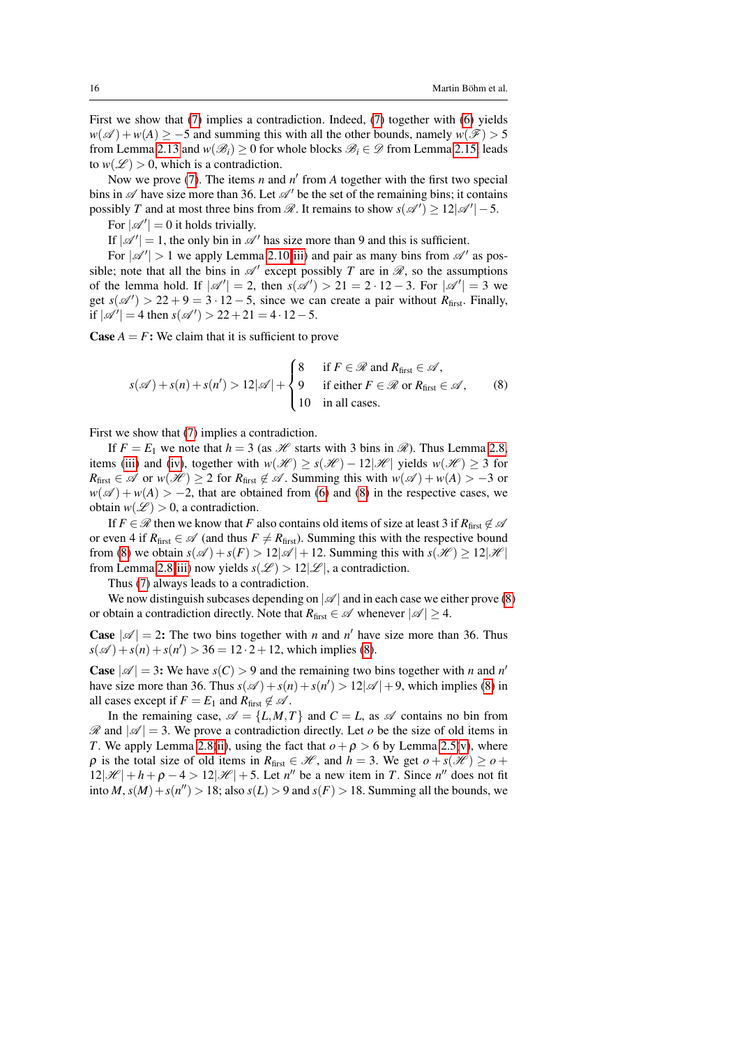First we show that [\(7\)](#page-14-1) implies a contradiction. Indeed, [\(7\)](#page-14-1) together with [\(6\)](#page-14-2) yields  $w(\mathscr{A}) + w(A) \ge -5$  and summing this with all the other bounds, namely  $w(\mathscr{F}) > 5$ from Lemma [2.13](#page-12-0) and  $w(\mathcal{B}_i) \geq 0$  for whole blocks  $\mathcal{B}_i \in \mathcal{D}$  from Lemma [2.15,](#page-13-3) leads to  $w(\mathscr{L}) > 0$ , which is a contradiction.

Now we prove [\(7\)](#page-14-1). The items  $n$  and  $n'$  from  $A$  together with the first two special bins in  $\mathscr A$  have size more than 36. Let  $\mathscr A'$  be the set of the remaining bins; it contains possibly *T* and at most three bins from  $\mathcal{R}$ . It remains to show  $s(\mathcal{A}') \geq 12|\mathcal{A}'| - 5$ .

For  $|\mathscr{A}'| = 0$  it holds trivially.

If  $|\mathscr{A}'| = 1$ , the only bin in  $\mathscr{A}'$  has size more than 9 and this is sufficient.

For  $|\mathscr{A}'| > 1$  we apply Lemma [2.10](#page-11-4)[\(iii\)](#page-11-3) and pair as many bins from  $\mathscr{A}'$  as possible; note that all the bins in  $\mathscr{A}'$  except possibly *T* are in  $\mathscr{R}$ , so the assumptions of the lemma hold. If  $|\mathcal{A}'| = 2$ , then  $s(\mathcal{A}') > 21 = 2 \cdot 12 - 3$ . For  $|\mathcal{A}'| = 3$  we get  $s(\mathscr{A}') > 22 + 9 = 3 \cdot 12 - 5$ , since we can create a pair without *R*<sub>first</sub>. Finally, if  $|\mathscr{A}'| = 4$  then  $s(\mathscr{A}') > 22 + 21 = 4 \cdot 12 - 5$ .

**Case**  $A = F$ : We claim that it is sufficient to prove

<span id="page-15-0"></span>
$$
s(\mathscr{A}) + s(n) + s(n') > 12|\mathscr{A}| + \begin{cases} 8 & \text{if } F \in \mathscr{R} \text{ and } R_{\text{first}} \in \mathscr{A}, \\ 9 & \text{if either } F \in \mathscr{R} \text{ or } R_{\text{first}} \in \mathscr{A}, \\ 10 & \text{in all cases.} \end{cases}
$$
 (8)

First we show that [\(7\)](#page-14-1) implies a contradiction.

If  $F = E_1$  we note that  $h = 3$  (as  $\mathcal{H}$  starts with 3 bins in  $\mathcal{R}$ ). Thus Lemma [2.8,](#page-9-5) items [\(iii\)](#page-9-2) and [\(iv\)](#page-9-1), together with  $w(\mathcal{H}) \ge s(\mathcal{H}) - 12|\mathcal{H}|$  yields  $w(\mathcal{H}) \ge 3$  for  $R_{\text{first}} \in \mathscr{A}$  or  $w(\mathscr{H}) \geq 2$  for  $R_{\text{first}} \notin \mathscr{A}$ . Summing this with  $w(\mathscr{A}) + w(A) > -3$  or  $w(\mathscr{A}) + w(A) > -2$ , that are obtained from [\(6\)](#page-14-2) and [\(8\)](#page-15-0) in the respective cases, we obtain  $w(\mathcal{L}) > 0$ , a contradiction.

If  $F \in \mathcal{R}$  then we know that *F* also contains old items of size at least 3 if  $R_{\text{first}} \notin \mathcal{A}$ or even 4 if  $R_{\text{first}} \in \mathscr{A}$  (and thus  $F \neq R_{\text{first}}$ ). Summing this with the respective bound from [\(8\)](#page-15-0) we obtain  $s(\mathscr{A}) + s(F) > 12|\mathscr{A}| + 12$ . Summing this with  $s(\mathscr{H}) \geq 12|\mathscr{H}|$ from Lemma [2.8\(](#page-9-5)[iii\)](#page-9-2) now yields  $s(\mathcal{L}) > 12|\mathcal{L}|$ , a contradiction.

Thus [\(7\)](#page-14-1) always leads to a contradiction.

We now distinguish subcases depending on  $|\mathscr{A}|$  and in each case we either prove [\(8\)](#page-15-0) or obtain a contradiction directly. Note that  $R_{\text{first}} \in \mathscr{A}$  whenever  $|\mathscr{A}| \geq 4$ .

**Case**  $|\mathcal{A}| = 2$ : The two bins together with *n* and *n'* have size more than 36. Thus  $s(\mathscr{A}) + s(n) + s(n') > 36 = 12 \cdot 2 + 12$ , which implies [\(8\)](#page-15-0).

**Case**  $|\mathcal{A}| = 3$ : We have  $s(C) > 9$  and the remaining two bins together with *n* and *n'* have size more than 36. Thus  $s(\mathscr{A}) + s(n) + s(n') > 12|\mathscr{A}| + 9$ , which implies [\(8\)](#page-15-0) in all cases except if  $F = E_1$  and  $R_{\text{first}} \notin \mathcal{A}$ .

In the remaining case,  $\mathscr{A} = \{L, M, T\}$  and  $C = L$ , as  $\mathscr{A}$  contains no bin from  $\mathcal{R}$  and  $|\mathcal{A}| = 3$ . We prove a contradiction directly. Let *o* be the size of old items in *T*. We apply Lemma [2.8\(](#page-9-5)[ii\)](#page-9-0), using the fact that  $o + \rho > 6$  by Lemma [2.5\(](#page-5-4)[v\)](#page-6-0), where  $\rho$  is the total size of old items in  $R_{\text{first}} \in \mathcal{H}$ , and  $h = 3$ . We get  $o + s(\mathcal{H}) \geq o +$  $12|\mathcal{H}| + h + \rho - 4 > 12|\mathcal{H}| + 5$ . Let *n''* be a new item in *T*. Since *n''* does not fit into *M*,  $s(M) + s(n'') > 18$ ; also  $s(L) > 9$  and  $s(F) > 18$ . Summing all the bounds, we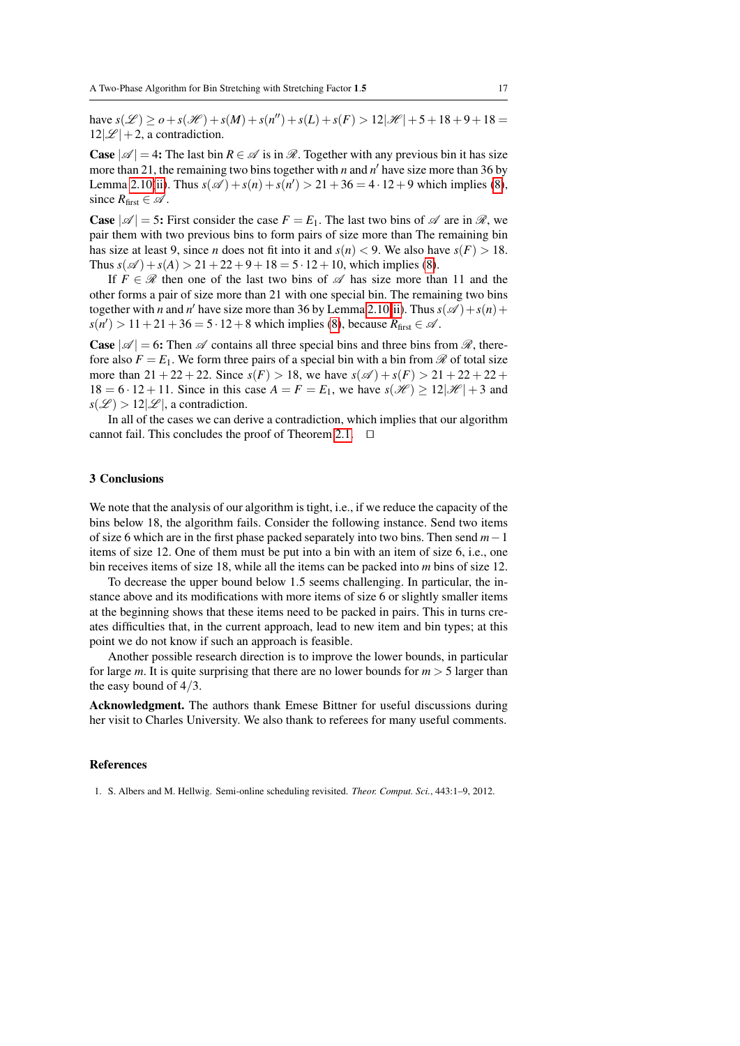$h$ ave  $s(\mathcal{L}) \geq o + s(\mathcal{H}) + s(M) + s(n'') + s(L) + s(F) > 12|\mathcal{H}| + 5 + 18 + 9 + 18 = 0$  $12|\mathcal{L}|+2$ , a contradiction.

**Case**  $|\mathscr{A}| = 4$ : The last bin  $R \in \mathscr{A}$  is in  $\mathscr{R}$ . Together with any previous bin it has size more than 21, the remaining two bins together with  $n$  and  $n'$  have size more than 36 by Lemma [2.10\(](#page-11-4)[ii\)](#page-11-2). Thus  $s(\mathscr{A}) + s(n) + s(n') > 21 + 36 = 4 \cdot 12 + 9$  which implies [\(8\)](#page-15-0), since  $R_{\text{first}} \in \mathcal{A}$ .

**Case**  $|\mathcal{A}| = 5$ : First consider the case  $F = E_1$ . The last two bins of  $\mathcal{A}$  are in  $\mathcal{R}$ , we pair them with two previous bins to form pairs of size more than The remaining bin has size at least 9, since *n* does not fit into it and  $s(n) < 9$ . We also have  $s(F) > 18$ . Thus  $s(\mathscr{A}) + s(A) > 21 + 22 + 9 + 18 = 5 \cdot 12 + 10$ , which implies [\(8\)](#page-15-0).

If  $F \in \mathcal{R}$  then one of the last two bins of  $\mathcal{A}$  has size more than 11 and the other forms a pair of size more than 21 with one special bin. The remaining two bins together with *n* and *n*<sup> $\prime$ </sup> have size more than 36 by Lemma [2.10\(](#page-11-4)[ii\)](#page-11-2). Thus  $s(\mathscr{A}) + s(n) +$  $s(n') > 11 + 21 + 36 = 5 \cdot 12 + 8$  which implies [\(8\)](#page-15-0), because  $R_{\text{first}} \in \mathcal{A}$ .

**Case**  $|\mathcal{A}| = 6$ : Then  $\mathcal{A}$  contains all three special bins and three bins from  $\mathcal{R}$ , therefore also  $F = E_1$ . We form three pairs of a special bin with a bin from  $\mathscr R$  of total size more than  $21 + 22 + 22$ . Since  $s(F) > 18$ , we have  $s(\mathscr{A}) + s(F) > 21 + 22 + 22 + 22$  $18 = 6 \cdot 12 + 11$ . Since in this case  $A = F = E_1$ , we have  $s(\mathcal{H}) > 12|\mathcal{H}| + 3$  and  $s(\mathscr{L}) > 12|\mathscr{L}|$ , a contradiction.

In all of the cases we can derive a contradiction, which implies that our algorithm cannot fail. This concludes the proof of Theorem [2.1.](#page-4-2)  $\Box$ 

## 3 Conclusions

We note that the analysis of our algorithm is tight, i.e., if we reduce the capacity of the bins below 18, the algorithm fails. Consider the following instance. Send two items of size 6 which are in the first phase packed separately into two bins. Then send *m*−1 items of size 12. One of them must be put into a bin with an item of size 6, i.e., one bin receives items of size 18, while all the items can be packed into *m* bins of size 12.

To decrease the upper bound below 1.5 seems challenging. In particular, the instance above and its modifications with more items of size 6 or slightly smaller items at the beginning shows that these items need to be packed in pairs. This in turns creates difficulties that, in the current approach, lead to new item and bin types; at this point we do not know if such an approach is feasible.

Another possible research direction is to improve the lower bounds, in particular for large *m*. It is quite surprising that there are no lower bounds for  $m > 5$  larger than the easy bound of 4/3.

Acknowledgment. The authors thank Emese Bittner for useful discussions during her visit to Charles University. We also thank to referees for many useful comments.

#### **References**

<span id="page-16-0"></span>1. S. Albers and M. Hellwig. Semi-online scheduling revisited. *Theor. Comput. Sci.*, 443:1–9, 2012.